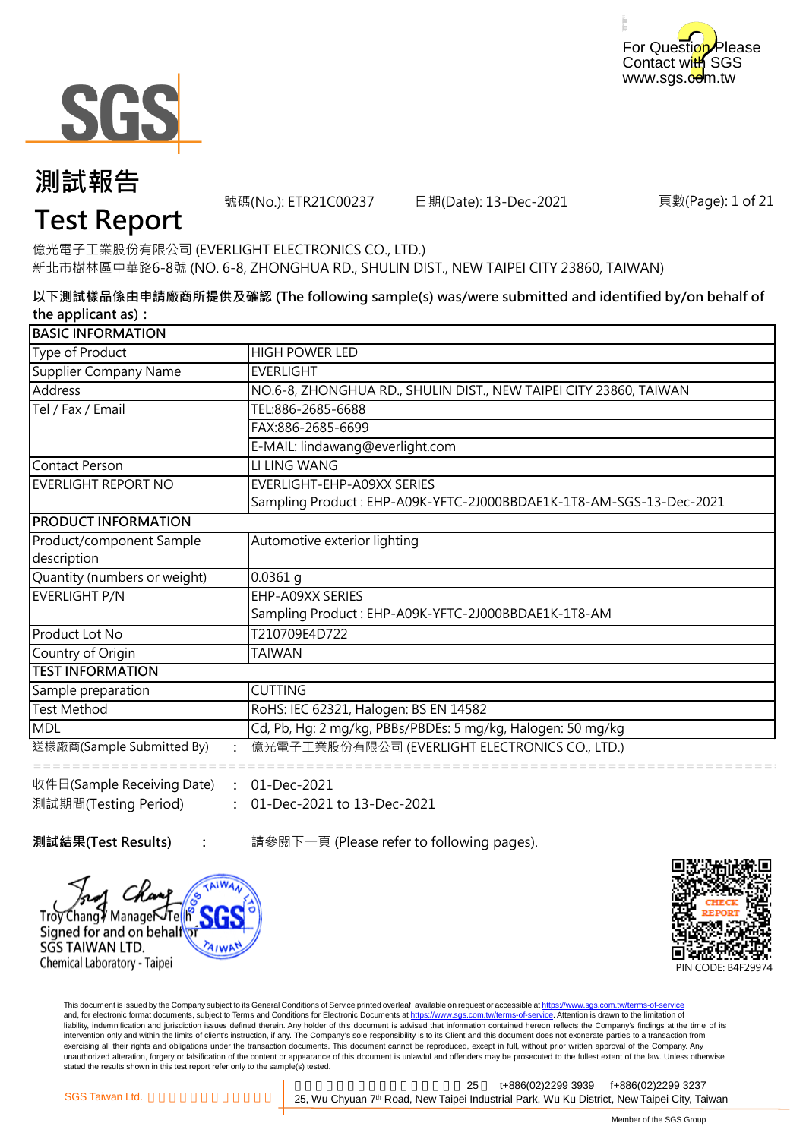



號碼(No.): ETR21C00237 日期(Date): 13-Dec-2021

頁數(Page): 1 of 21

## **Test Report**

億光電子工業股份有限公司 (EVERLIGHT ELECTRONICS CO., LTD.) 新北市樹林區中華路6-8號 (NO. 6-8, ZHONGHUA RD., SHULIN DIST., NEW TAIPEI CITY 23860, TAIWAN)

**以下測試樣品係由申請廠商所提供及確認 (The following sample(s) was/were submitted and identified by/on behalf of the applicant as):**

| <b>BASIC INFORMATION</b>     |                                                                     |
|------------------------------|---------------------------------------------------------------------|
| Type of Product              | <b>HIGH POWER LED</b>                                               |
| Supplier Company Name        | <b>EVERLIGHT</b>                                                    |
| Address                      | NO.6-8, ZHONGHUA RD., SHULIN DIST., NEW TAIPEI CITY 23860, TAIWAN   |
| Tel / Fax / Email            | TEL:886-2685-6688                                                   |
|                              | FAX:886-2685-6699                                                   |
|                              | E-MAIL: lindawang@everlight.com                                     |
| Contact Person               | LI LING WANG                                                        |
| <b>EVERLIGHT REPORT NO</b>   | EVERLIGHT-EHP-A09XX SERIES                                          |
|                              | Sampling Product: EHP-A09K-YFTC-2J000BBDAE1K-1T8-AM-SGS-13-Dec-2021 |
| <b>PRODUCT INFORMATION</b>   |                                                                     |
| Product/component Sample     | Automotive exterior lighting                                        |
| description                  |                                                                     |
| Quantity (numbers or weight) | $0.0361$ q                                                          |
| EVERLIGHT P/N                | EHP-A09XX SERIES                                                    |
|                              | Sampling Product: EHP-A09K-YFTC-2J000BBDAE1K-1T8-AM                 |
| <b>Product Lot No</b>        | T210709E4D722                                                       |
| Country of Origin            | TAIWAN                                                              |
| <b>ITEST INFORMATION</b>     |                                                                     |
| Sample preparation           | <b>CUTTING</b>                                                      |
| <b>Test Method</b>           | RoHS: IEC 62321, Halogen: BS EN 14582                               |
| <b>MDL</b>                   | Cd, Pb, Hg: 2 mg/kg, PBBs/PBDEs: 5 mg/kg, Halogen: 50 mg/kg         |
| 送樣廠商(Sample Submitted By)    | 億光電子工業股份有限公司 (EVERLIGHT ELECTRONICS CO., LTD.)                      |
|                              |                                                                     |
| 收件日(Sample Receiving Date)   | 01-Dec-2021<br>$\ddot{\cdot}$                                       |

**:** 01-Dec-2021 to 13-Dec-2021 測試期間(Testing Period)

**:**

**測試結果(Test Results) : The oral 請參閱下一頁 (Please refer to following pages).** 





This document is issued by the Company subject to its General Conditions of Service printed overleaf, available on request or accessible at https://www.sgs.com.tw/terms-of-service and, for electronic format documents, subject to Terms and Conditions for Electronic Documents at https://www.sgs.com.tw/terms-of-service. Attention is drawn to the limitation of liability, indemnification and jurisdiction issues defined therein. Any holder of this document is advised that information contained hereon reflects the Company's findings at the time of its intervention only and within the limits of client's instruction, if any. The Company's sole responsibility is to its Client and this document does not exonerate parties to a transaction from exercising all their rights and obligations under the transaction documents. This document cannot be reproduced, except in full, without prior written approval of the Company. Any<br>unauthorized alteration, forgery or falsif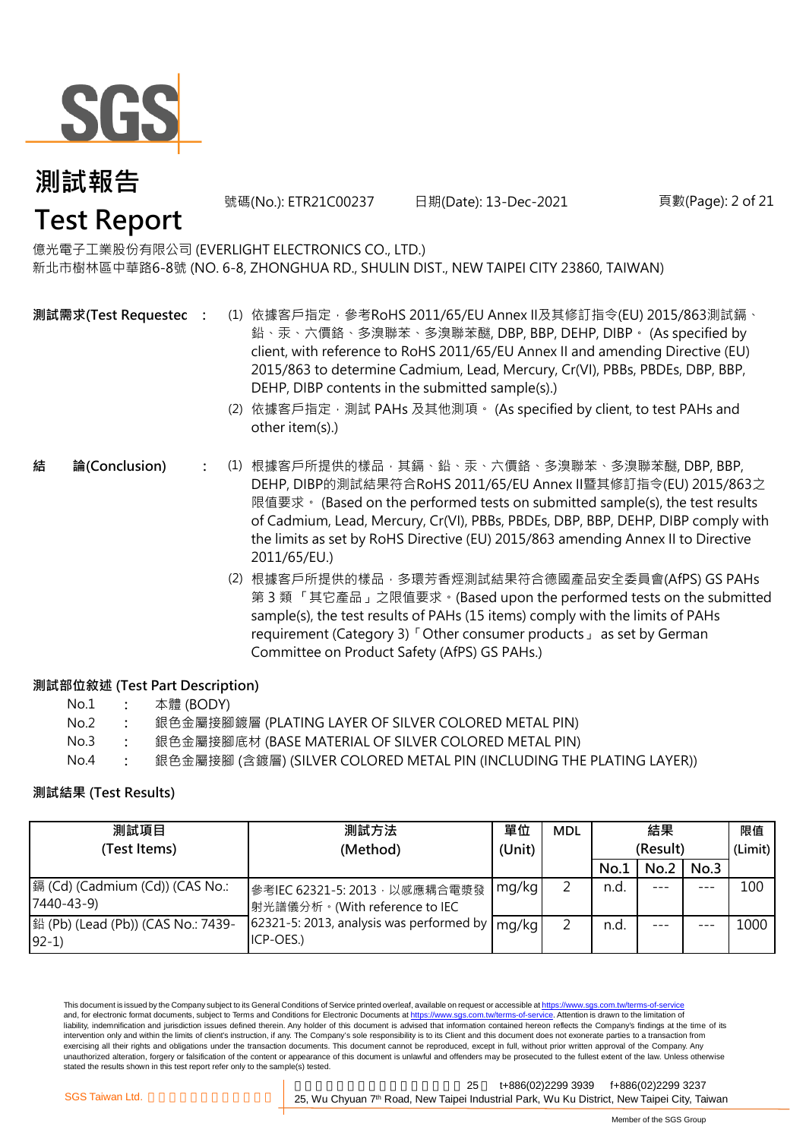

號碼(No.): ETR21C00237 日期(Date): 13-Dec-2021

#### 頁數(Page): 2 of 21

億光電子工業股份有限公司 (EVERLIGHT ELECTRONICS CO., LTD.) 新北市樹林區中華路6-8號 (NO. 6-8, ZHONGHUA RD., SHULIN DIST., NEW TAIPEI CITY 23860, TAIWAN)

- **測試需求(Test Requested)**
- **:** (1) 依據客戶指定,參考RoHS 2011/65/EU Annex II及其修訂指令(EU) 2015/863測試鎘、 鉛、汞、六價鉻、多溴聯苯、多溴聯苯醚, DBP, BBP, DEHP, DIBP。 (As specified by client, with reference to RoHS 2011/65/EU Annex II and amending Directive (EU) 2015/863 to determine Cadmium, Lead, Mercury, Cr(VI), PBBs, PBDEs, DBP, BBP, DEHP, DIBP contents in the submitted sample(s).)
	- (2) 依據客戶指定,測試 PAHs 及其他測項。 (As specified by client, to test PAHs and other item(s).)
- **:** (1) 根據客戶所提供的樣品,其鎘、鉛、汞、六價鉻、多溴聯苯、多溴聯苯醚, DBP, BBP, DEHP, DIBP的測試結果符合RoHS 2011/65/EU Annex II暨其修訂指令(EU) 2015/863之 限值要求。 (Based on the performed tests on submitted sample(s), the test results of Cadmium, Lead, Mercury, Cr(VI), PBBs, PBDEs, DBP, BBP, DEHP, DIBP comply with the limits as set by RoHS Directive (EU) 2015/863 amending Annex II to Directive 2011/65/EU.) **結 論(Conclusion)**
	- (2) 根據客戶所提供的樣品,多環芳香烴測試結果符合德國產品安全委員會(AfPS) GS PAHs 第 3 類 「其它產品」之限值要求。(Based upon the performed tests on the submitted sample(s), the test results of PAHs (15 items) comply with the limits of PAHs requirement (Category 3)「Other consumer products」 as set by German Committee on Product Safety (AfPS) GS PAHs.)

#### **測試部位敘述 (Test Part Description)**

| No.1 | 本體 (BODY) |
|------|-----------|
|------|-----------|

- No.2 **:** 銀色金屬接腳鍍層 (PLATING LAYER OF SILVER COLORED METAL PIN)
- No.3 **:** 銀色金屬接腳底材 (BASE MATERIAL OF SILVER COLORED METAL PIN)
- No.4 **:** 銀色金屬接腳 (含鍍層) (SILVER COLORED METAL PIN (INCLUDING THE PLATING LAYER))

#### **測試結果 (Test Results)**

| 測試項目                                           | 測試方法                                                            | 單位     | <b>MDL</b> | 結果       |      |         | 限值      |
|------------------------------------------------|-----------------------------------------------------------------|--------|------------|----------|------|---------|---------|
| (Test Items)                                   | (Method)                                                        | (Unit) |            | (Result) |      |         | (Limit) |
|                                                |                                                                 |        |            | No.1     | No.2 | No.3    |         |
| [編 (Cd) (Cadmium (Cd)) (CAS No.:<br>7440-43-9) | 參考IEC 62321-5: 2013, 以感應耦合電漿發<br> 射光譜儀分析。(With reference to IEC | mg/kg  | ∍          | n.d.     |      | $- - -$ | 100     |
| 鉛 (Pb) (Lead (Pb)) (CAS No.: 7439-<br>$92-1)$  | 62321-5: 2013, analysis was performed by<br>ICP-OES.)           | mg/kg  | っ          | n.d.     |      |         | 1000    |

This document is issued by the Company subject to its General Conditions of Service printed overleaf, available on request or accessible at https://www.sgs.com.tw/terms-of-service and, for electronic format documents, subject to Terms and Conditions for Electronic Documents at https://www.sgs.com.tw/terms-of-service. Attention is drawn to the limitation of liability, indemnification and jurisdiction issues defined therein. Any holder of this document is advised that information contained hereon reflects the Company's findings at the time of its intervention only and within the limits of client's instruction, if any. The Company's sole responsibility is to its Client and this document does not exonerate parties to a transaction from exercising all their rights and obligations under the transaction documents. This document cannot be reproduced, except in full, without prior written approval of the Company. Any unauthorized alteration, forgery or falsification of the content or appearance of this document is unlawful and offenders may be prosecuted to the fullest extent of the law. Unless otherwise stated the results shown in this test report refer only to the sample(s) tested.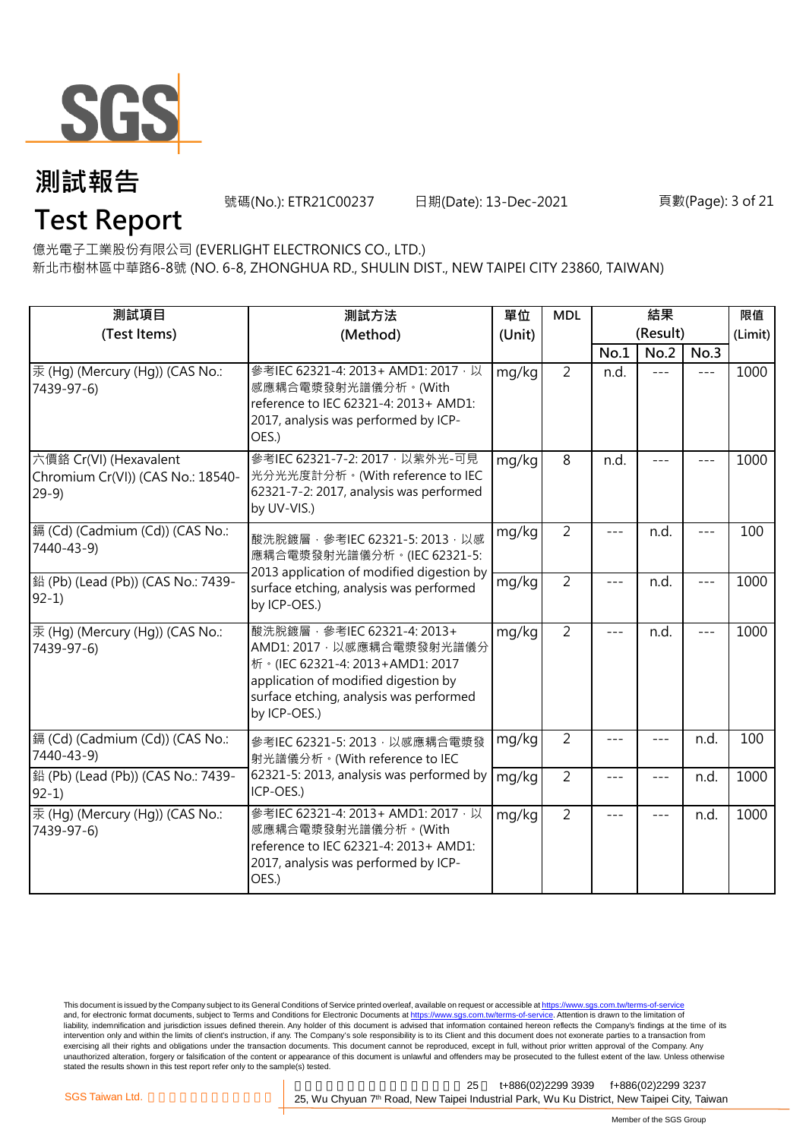

號碼(No.): ETR21C00237 日期(Date): 13-Dec-2021

#### 頁數(Page): 3 of 21

**Test Report**

億光電子工業股份有限公司 (EVERLIGHT ELECTRONICS CO., LTD.)

新北市樹林區中華路6-8號 (NO. 6-8, ZHONGHUA RD., SHULIN DIST., NEW TAIPEI CITY 23860, TAIWAN)

| 測試項目<br>(Test Items)                                                  | 測試方法<br>(Method)                                                                                                                                                                                | 單位<br>(Unit) | <b>MDL</b>     |         | 結果<br>(Result) |         | 限值<br>(Limit) |
|-----------------------------------------------------------------------|-------------------------------------------------------------------------------------------------------------------------------------------------------------------------------------------------|--------------|----------------|---------|----------------|---------|---------------|
|                                                                       |                                                                                                                                                                                                 |              |                | No.1    | No.2           | No.3    |               |
| 汞 (Hg) (Mercury (Hg)) (CAS No.:<br>7439-97-6)                         | 參考IEC 62321-4: 2013+ AMD1: 2017, 以<br>感應耦合電漿發射光譜儀分析。(With<br>reference to IEC 62321-4: 2013+ AMD1:<br>2017, analysis was performed by ICP-<br>OES.)                                             | mg/kg        | $\overline{2}$ | n.d.    | $---$          | $---$   | 1000          |
| 六價鉻 Cr(VI) (Hexavalent<br>Chromium Cr(VI)) (CAS No.: 18540-<br>$29-9$ | 參考IEC 62321-7-2: 2017 · 以紫外光-可見<br>光分光光度計分析。(With reference to IEC<br>62321-7-2: 2017, analysis was performed<br>by UV-VIS.)                                                                    | mg/kg        | 8              | n.d.    |                |         | 1000          |
| [鎘 (Cd) (Cadmium (Cd)) (CAS No.:<br>7440-43-9)                        | 酸洗脫鍍層, 參考IEC 62321-5: 2013, 以感<br>應耦合電漿發射光譜儀分析。(IEC 62321-5:                                                                                                                                    | mg/kg        | $\overline{2}$ |         | n.d.           | $- - -$ | 100           |
| 鉛 (Pb) (Lead (Pb)) (CAS No.: 7439-<br>$92-1)$                         | 2013 application of modified digestion by<br>surface etching, analysis was performed<br>by ICP-OES.)                                                                                            | mg/kg        | $\overline{2}$ | $---$   | n.d.           | $---$   | 1000          |
| 汞 (Hg) (Mercury (Hg)) (CAS No.:<br>7439-97-6)                         | 酸洗脫鍍層, 參考IEC 62321-4: 2013+<br>AMD1: 2017 · 以感應耦合電漿發射光譜儀分<br>析。(IEC 62321-4: 2013+AMD1: 2017<br>application of modified digestion by<br>surface etching, analysis was performed<br>by ICP-OES.) | mg/kg        | $\overline{2}$ | $---$   | n.d.           | $---$   | 1000          |
| 鎘 (Cd) (Cadmium (Cd)) (CAS No.:<br>7440-43-9)                         | 參考IEC 62321-5: 2013, 以感應耦合電漿發<br>射光譜儀分析。(With reference to IEC                                                                                                                                  | mg/kg        | $\overline{2}$ | $---$   | ---            | n.d.    | 100           |
| 鉛 (Pb) (Lead (Pb)) (CAS No.: 7439-<br>$92-1$                          | 62321-5: 2013, analysis was performed by<br>ICP-OES.)                                                                                                                                           | mg/kg        | $\overline{2}$ | ---     | $---$          | n.d.    | 1000          |
| 汞 (Hq) (Mercury (Hq)) (CAS No.:<br>7439-97-6)                         | 參考IEC 62321-4: 2013+ AMD1: 2017 · 以<br>感應耦合電漿發射光譜儀分析。(With<br>reference to IEC 62321-4: 2013+ AMD1:<br>2017, analysis was performed by ICP-<br>OES.)                                            | mg/kg        | $\overline{2}$ | $- - -$ | $- - -$        | n.d.    | 1000          |

This document is issued by the Company subject to its General Conditions of Service printed overleaf, available on request or accessible at <u>https://www.sgs.com.tw/terms-of-service</u><br>and, for electronic format documents, su liability, indemnification and jurisdiction issues defined therein. Any holder of this document is advised that information contained hereon reflects the Company's findings at the time of its intervention only and within the limits of client's instruction, if any. The Company's sole responsibility is to its Client and this document does not exonerate parties to a transaction from exercising all their rights and obligations under the transaction documents. This document cannot be reproduced, except in full, without prior written approval of the Company. Any<br>unauthorized alteration, forgery or falsif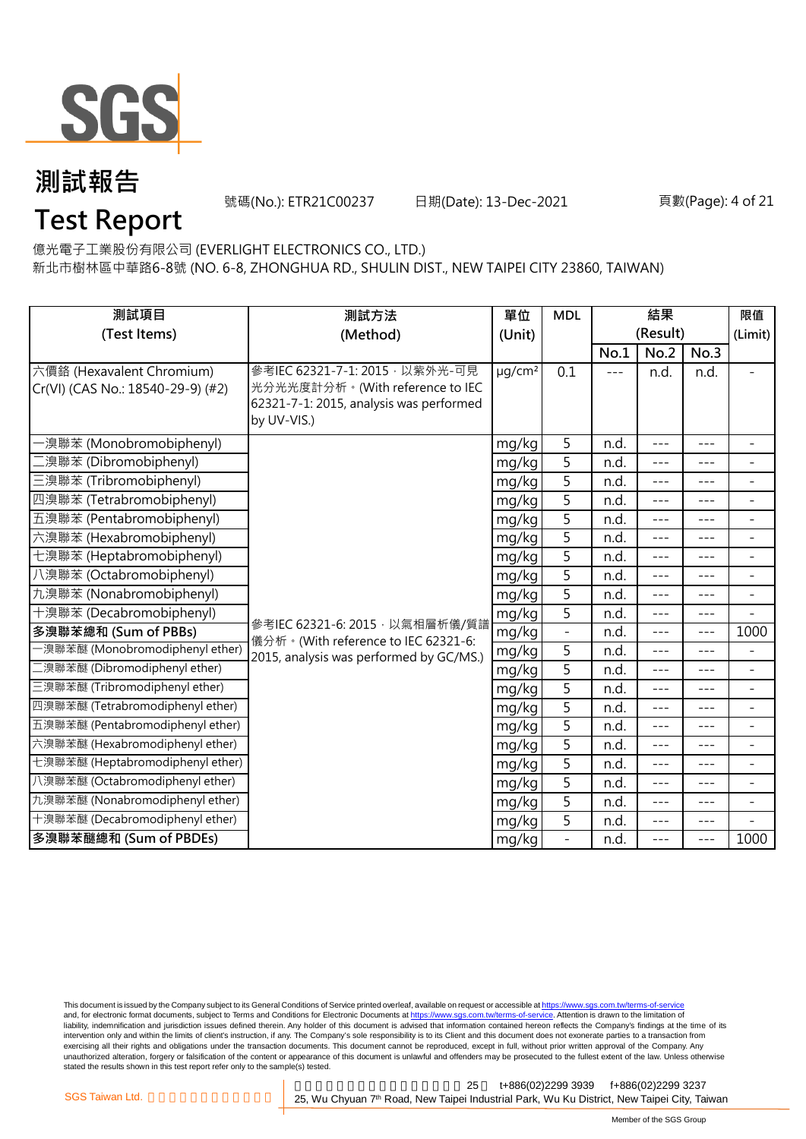

號碼(No.): ETR21C00237 日期(Date): 13-Dec-2021

#### 頁數(Page): 4 of 21

## **Test Report**

億光電子工業股份有限公司 (EVERLIGHT ELECTRONICS CO., LTD.)

新北市樹林區中華路6-8號 (NO. 6-8, ZHONGHUA RD., SHULIN DIST., NEW TAIPEI CITY 23860, TAIWAN)

| 測試項目                                                           | 測試方法                                                                                                                         | 單位                      | <b>MDL</b>     | 結果    |          |         | 限值                       |
|----------------------------------------------------------------|------------------------------------------------------------------------------------------------------------------------------|-------------------------|----------------|-------|----------|---------|--------------------------|
| (Test Items)                                                   | (Method)                                                                                                                     | (Unit)                  |                |       | (Result) |         | (Limit)                  |
|                                                                |                                                                                                                              |                         |                | No.1  | No.2     | No.3    |                          |
| 六價鉻 (Hexavalent Chromium)<br>Cr(VI) (CAS No.: 18540-29-9) (#2) | 參考IEC 62321-7-1: 2015 · 以紫外光-可見<br>光分光光度計分析。(With reference to IEC<br>62321-7-1: 2015, analysis was performed<br>by UV-VIS.) | $\mu$ g/cm <sup>2</sup> | 0.1            | $---$ | n.d.     | n.d.    |                          |
| ·溴聯苯 (Monobromobiphenyl)                                       |                                                                                                                              | mg/kg                   | 5              | n.d.  | $---$    | $---$   | $\overline{\phantom{a}}$ |
| [溴聯苯 (Dibromobiphenyl)                                         |                                                                                                                              | mg/kg                   | 5              | n.d.  | $- - -$  | ---     | ÷                        |
| 三溴聯苯 (Tribromobiphenyl)                                        |                                                                                                                              | mg/kg                   | 5              | n.d.  | $---$    | ---     | $\overline{\phantom{a}}$ |
| 四溴聯苯 (Tetrabromobiphenyl)                                      |                                                                                                                              | mg/kg                   | 5              | n.d.  | $---$    | ---     | -                        |
| 五溴聯苯 (Pentabromobiphenyl)                                      |                                                                                                                              | mg/kg                   | 5              | n.d.  | $---$    | ---     | $\overline{a}$           |
| 六溴聯苯 (Hexabromobiphenyl)                                       |                                                                                                                              | mg/kg                   | 5              | n.d.  | $---$    | $---$   | $\overline{\phantom{a}}$ |
| 七溴聯苯 (Heptabromobiphenyl)                                      |                                                                                                                              | mg/kg                   | $\overline{5}$ | n.d.  | $---$    | ---     | $\overline{a}$           |
| 八溴聯苯 (Octabromobiphenyl)                                       |                                                                                                                              | mg/kg                   | 5              | n.d.  | $- - -$  | ---     | $\overline{\phantom{a}}$ |
| 九溴聯苯 (Nonabromobiphenyl)                                       |                                                                                                                              | mg/kg                   | 5              | n.d.  | $- - -$  | $- - -$ | $\overline{\phantom{a}}$ |
| 十溴聯苯 (Decabromobiphenyl)                                       | 參考IEC 62321-6: 2015, 以氣相層析儀/質譜                                                                                               | mg/kg                   | 5              | n.d.  | $---$    | $---$   | $\overline{\phantom{0}}$ |
| 多溴聯苯總和 (Sum of PBBs)                                           | 儀分析。(With reference to IEC 62321-6:                                                                                          | mg/kg                   |                | n.d.  | $---$    | $- - -$ | 1000                     |
| -溴聯苯醚 (Monobromodiphenyl ether)                                | 2015, analysis was performed by GC/MS.)                                                                                      | mg/kg                   | 5              | n.d.  | ---      | ---     | $\overline{a}$           |
| 二溴聯苯醚 (Dibromodiphenyl ether)                                  |                                                                                                                              | mg/kg                   | $\overline{5}$ | n.d.  | $---$    | $---$   | $\overline{\phantom{a}}$ |
| 三溴聯苯醚 (Tribromodiphenyl ether)                                 |                                                                                                                              | mg/kg                   | 5              | n.d.  | $---$    | ---     | $\overline{\phantom{0}}$ |
| 四溴聯苯醚 (Tetrabromodiphenyl ether)                               |                                                                                                                              | mg/kg                   | 5              | n.d.  | $- - -$  | $---$   | $\overline{\phantom{a}}$ |
| 五溴聯苯醚 (Pentabromodiphenyl ether)                               |                                                                                                                              | mg/kg                   | 5              | n.d.  | $---$    | $- - -$ | ÷                        |
| 六溴聯苯醚 (Hexabromodiphenyl ether)                                |                                                                                                                              | mg/kg                   | 5              | n.d.  | $- - -$  | $---$   | $\overline{a}$           |
| 七溴聯苯醚 (Heptabromodiphenyl ether)                               |                                                                                                                              | mg/kg                   | 5              | n.d.  | $---$    | $---$   | $\overline{\phantom{a}}$ |
| 八溴聯苯醚 (Octabromodiphenyl ether)                                |                                                                                                                              | mg/kg                   | $\overline{5}$ | n.d.  | $---$    | ---     | $\overline{\phantom{0}}$ |
| 九溴聯苯醚 (Nonabromodiphenyl ether)                                |                                                                                                                              | mg/kg                   | $\overline{5}$ | n.d.  | $---$    | $---$   | $\equiv$                 |
| 十溴聯苯醚 (Decabromodiphenyl ether)                                |                                                                                                                              | mg/kg                   | 5              | n.d.  | ---      | ---     |                          |
| 多溴聯苯醚總和 (Sum of PBDEs)                                         |                                                                                                                              | mg/kg                   |                | n.d.  | $---$    | $---$   | 1000                     |

This document is issued by the Company subject to its General Conditions of Service printed overleaf, available on request or accessible at <u>https://www.sgs.com.tw/terms-of-service</u><br>and, for electronic format documents, su liability, indemnification and jurisdiction issues defined therein. Any holder of this document is advised that information contained hereon reflects the Company's findings at the time of its intervention only and within the limits of client's instruction, if any. The Company's sole responsibility is to its Client and this document does not exonerate parties to a transaction from exercising all their rights and obligations under the transaction documents. This document cannot be reproduced, except in full, without prior written approval of the Company. Any<br>unauthorized alteration, forgery or falsif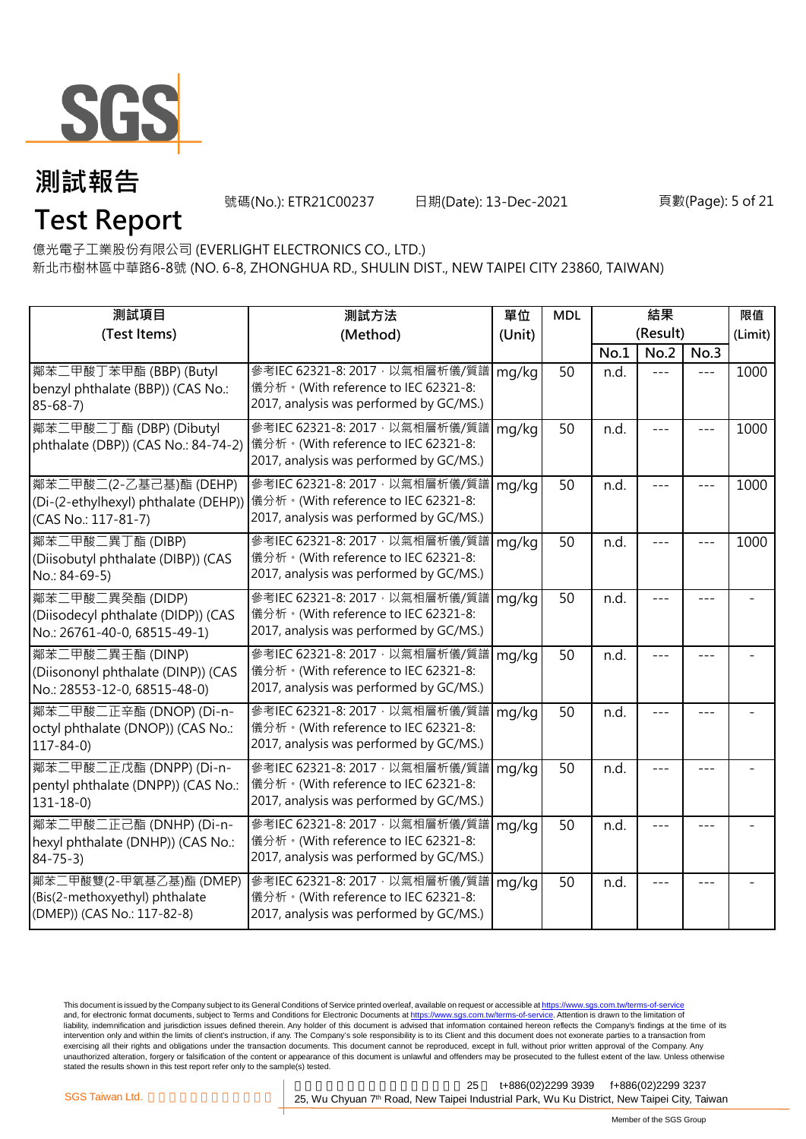

號碼(No.): ETR21C00237 日期(Date): 13-Dec-2021

#### 頁數(Page): 5 of 21

**Test Report**

億光電子工業股份有限公司 (EVERLIGHT ELECTRONICS CO., LTD.)

新北市樹林區中華路6-8號 (NO. 6-8, ZHONGHUA RD., SHULIN DIST., NEW TAIPEI CITY 23860, TAIWAN)

| 測試項目                                                                                     | 測試方法                                                                                                               | 單位     | <b>MDL</b> | 結果       |         |      | 限值      |
|------------------------------------------------------------------------------------------|--------------------------------------------------------------------------------------------------------------------|--------|------------|----------|---------|------|---------|
| (Test Items)                                                                             | (Method)                                                                                                           | (Unit) |            | (Result) |         |      | (Limit) |
|                                                                                          |                                                                                                                    |        |            | No.1     | No.2    | No.3 |         |
| 鄰苯二甲酸丁苯甲酯 (BBP) (Butyl<br>benzyl phthalate (BBP)) (CAS No.:<br>$85 - 68 - 7$             | 參考IEC 62321-8: 2017, 以氣相層析儀/質譜<br>儀分析。(With reference to IEC 62321-8:<br>2017, analysis was performed by GC/MS.)   | mg/kg  | 50         | n.d.     |         |      | 1000    |
| 鄰苯二甲酸二丁酯 (DBP) (Dibutyl<br>phthalate (DBP)) (CAS No.: 84-74-2)                           | 參考IEC 62321-8: 2017, 以氣相層析儀/質譜<br> 儀分析。(With reference to IEC 62321-8:<br>2017, analysis was performed by GC/MS.)  | mg/kg  | 50         | n.d.     |         |      | 1000    |
| 鄰苯二甲酸二(2-乙基己基)酯 (DEHP)<br>(Di-(2-ethylhexyl) phthalate (DEHP))<br>(CAS No.: 117-81-7)    | 參考IEC 62321-8: 2017 · 以氣相層析儀/質譜<br> 儀分析。(With reference to IEC 62321-8:<br>2017, analysis was performed by GC/MS.) | mg/kg  | 50         | n.d.     |         |      | 1000    |
| 鄰苯二甲酸二異丁酯 (DIBP)<br>(Diisobutyl phthalate (DIBP)) (CAS<br>No.: 84-69-5)                  | 參考IEC 62321-8: 2017, 以氣相層析儀/質譜<br>儀分析。(With reference to IEC 62321-8:<br>2017, analysis was performed by GC/MS.)   | mg/kg  | 50         | n.d.     |         |      | 1000    |
| 鄰苯二甲酸二異癸酯 (DIDP)<br>(Diisodecyl phthalate (DIDP)) (CAS<br>No.: 26761-40-0, 68515-49-1)   | 參考IEC 62321-8: 2017, 以氣相層析儀/質譜<br>儀分析。(With reference to IEC 62321-8:<br>2017, analysis was performed by GC/MS.)   | mg/kg  | 50         | n.d.     |         |      |         |
| 鄰苯二甲酸二異壬酯 (DINP)<br>(Diisononyl phthalate (DINP)) (CAS<br>No.: 28553-12-0, 68515-48-0)   | 參考IEC 62321-8: 2017 · 以氣相層析儀/質譜<br>儀分析。(With reference to IEC 62321-8:<br>2017, analysis was performed by GC/MS.)  | mg/kg  | 50         | n.d.     |         |      |         |
| 鄰苯二甲酸二正辛酯 (DNOP) (Di-n-<br>octyl phthalate (DNOP)) (CAS No.:<br>$117 - 84 - 0$           | 參考IEC 62321-8: 2017, 以氣相層析儀/質譜<br>儀分析。(With reference to IEC 62321-8:<br>2017, analysis was performed by GC/MS.)   | mg/kg  | 50         | n.d.     |         |      |         |
| 鄰苯二甲酸二正戊酯 (DNPP) (Di-n-<br>pentyl phthalate (DNPP)) (CAS No.:<br>$131 - 18 - 0$          | 參考IEC 62321-8: 2017, 以氣相層析儀/質譜<br>儀分析。(With reference to IEC 62321-8:<br>2017, analysis was performed by GC/MS.)   | mg/kg  | 50         | n.d.     |         |      |         |
| 鄰苯二甲酸二正己酯 (DNHP) (Di-n-<br>hexyl phthalate (DNHP)) (CAS No.:<br>$84 - 75 - 3$            | 參考IEC 62321-8: 2017, 以氣相層析儀/質譜<br>儀分析。(With reference to IEC 62321-8:<br>2017, analysis was performed by GC/MS.)   | mg/kg  | 50         | n.d.     |         |      |         |
| 鄰苯二甲酸雙(2-甲氧基乙基)酯 (DMEP)<br>(Bis(2-methoxyethyl) phthalate<br>(DMEP)) (CAS No.: 117-82-8) | 參考IEC 62321-8: 2017, 以氣相層析儀/質譜<br>儀分析。(With reference to IEC 62321-8:<br>2017, analysis was performed by GC/MS.)   | mg/kg  | 50         | n.d.     | $- - -$ |      |         |

This document is issued by the Company subject to its General Conditions of Service printed overleaf, available on request or accessible at <u>https://www.sgs.com.tw/terms-of-service</u><br>and, for electronic format documents, su liability, indemnification and jurisdiction issues defined therein. Any holder of this document is advised that information contained hereon reflects the Company's findings at the time of its intervention only and within the limits of client's instruction, if any. The Company's sole responsibility is to its Client and this document does not exonerate parties to a transaction from exercising all their rights and obligations under the transaction documents. This document cannot be reproduced, except in full, without prior written approval of the Company. Any<br>unauthorized alteration, forgery or falsif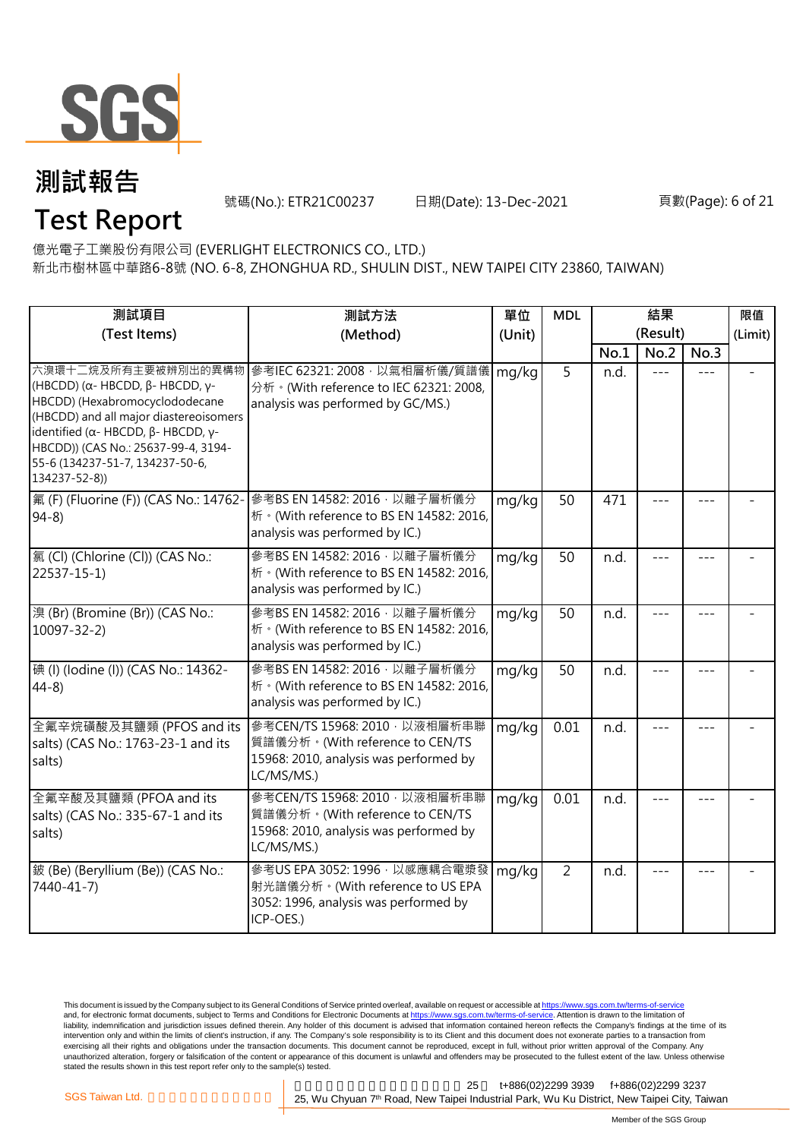

號碼(No.): ETR21C00237 日期(Date): 13-Dec-2021

#### 頁數(Page): 6 of 21

**Test Report**

億光電子工業股份有限公司 (EVERLIGHT ELECTRONICS CO., LTD.)

新北市樹林區中華路6-8號 (NO. 6-8, ZHONGHUA RD., SHULIN DIST., NEW TAIPEI CITY 23860, TAIWAN)

| 測試項目                                                                                                                                                                                                                                                  | 測試方法                                                                                                                                  | 單位     | <b>MDL</b>     | 結果       |         |         | 限值 |
|-------------------------------------------------------------------------------------------------------------------------------------------------------------------------------------------------------------------------------------------------------|---------------------------------------------------------------------------------------------------------------------------------------|--------|----------------|----------|---------|---------|----|
| (Test Items)                                                                                                                                                                                                                                          | (Method)                                                                                                                              | (Unit) |                | (Result) |         | (Limit) |    |
|                                                                                                                                                                                                                                                       |                                                                                                                                       |        |                | No.1     | No.2    | No.3    |    |
| (HBCDD) ( $\alpha$ - HBCDD, β- HBCDD, γ-<br>HBCDD) (Hexabromocyclododecane<br>(HBCDD) and all major diastereoisomers<br>identified (α- HBCDD, β- HBCDD, γ-<br>HBCDD)) (CAS No.: 25637-99-4, 3194-<br>55-6 (134237-51-7, 134237-50-6,<br>134237-52-8)) | 六溴環十二烷及所有主要被辨別出的異構物   參考IEC 62321: 2008 · 以氣相層析儀/質譜儀<br>分析 · (With reference to IEC 62321: 2008,<br>analysis was performed by GC/MS.) | mg/kg  | $\overline{5}$ | n.d.     |         |         |    |
| 氟 (F) (Fluorine (F)) (CAS No.: 14762-<br>$94-8$                                                                                                                                                                                                       | 參考BS EN 14582: 2016, 以離子層析儀分<br>析 · (With reference to BS EN 14582: 2016,<br>analysis was performed by IC.)                           | mg/kg  | 50             | 471      |         |         |    |
| 氯(Cl) (Chlorine (Cl)) (CAS No.:<br>$22537 - 15 - 1$                                                                                                                                                                                                   | 參考BS EN 14582: 2016 · 以離子層析儀分<br>桥 · (With reference to BS EN 14582: 2016,<br>analysis was performed by IC.)                          | mg/kg  | 50             | n.d.     |         |         |    |
| 溴(Br) (Bromine (Br)) (CAS No.:<br>$10097 - 32 - 2$                                                                                                                                                                                                    | 參考BS EN 14582: 2016 · 以離子層析儀分<br>析 · (With reference to BS EN 14582: 2016,<br>analysis was performed by IC.)                          | mg/kg  | 50             | n.d.     |         |         |    |
| 碘 (I) (Iodine (I)) (CAS No.: 14362-<br>$44-8$                                                                                                                                                                                                         | 參考BS EN 14582: 2016 · 以離子層析儀分<br>析 · (With reference to BS EN 14582: 2016,<br>analysis was performed by IC.)                          | mg/kg  | 50             | n.d.     |         |         |    |
| 全氟辛烷磺酸及其鹽類 (PFOS and its<br>salts) (CAS No.: 1763-23-1 and its<br>salts)                                                                                                                                                                              | 参考CEN/TS 15968: 2010 · 以液相層析串聯<br>質譜儀分析。(With reference to CEN/TS<br>15968: 2010, analysis was performed by<br>LC/MS/MS.)             | mg/kg  | 0.01           | n.d.     | $- - -$ | $- - -$ |    |
| 全氟辛酸及其鹽類 (PFOA and its<br>salts) (CAS No.: 335-67-1 and its<br>salts)                                                                                                                                                                                 | 參考CEN/TS 15968: 2010 · 以液相層析串聯<br>質譜儀分析。(With reference to CEN/TS<br>15968: 2010, analysis was performed by<br>LC/MS/MS.)             | mg/kg  | 0.01           | n.d.     |         |         |    |
| 鈹 (Be) (Beryllium (Be)) (CAS No.:<br>7440-41-7)                                                                                                                                                                                                       | 參考US EPA 3052: 1996, 以感應耦合電漿發<br>射光譜儀分析。(With reference to US EPA<br>3052: 1996, analysis was performed by<br>ICP-OES.)               | mg/kg  | $\overline{2}$ | n.d.     |         |         |    |

This document is issued by the Company subject to its General Conditions of Service printed overleaf, available on request or accessible at <u>https://www.sgs.com.tw/terms-of-service</u><br>and, for electronic format documents, su liability, indemnification and jurisdiction issues defined therein. Any holder of this document is advised that information contained hereon reflects the Company's findings at the time of its intervention only and within the limits of client's instruction, if any. The Company's sole responsibility is to its Client and this document does not exonerate parties to a transaction from exercising all their rights and obligations under the transaction documents. This document cannot be reproduced, except in full, without prior written approval of the Company. Any<br>unauthorized alteration, forgery or falsif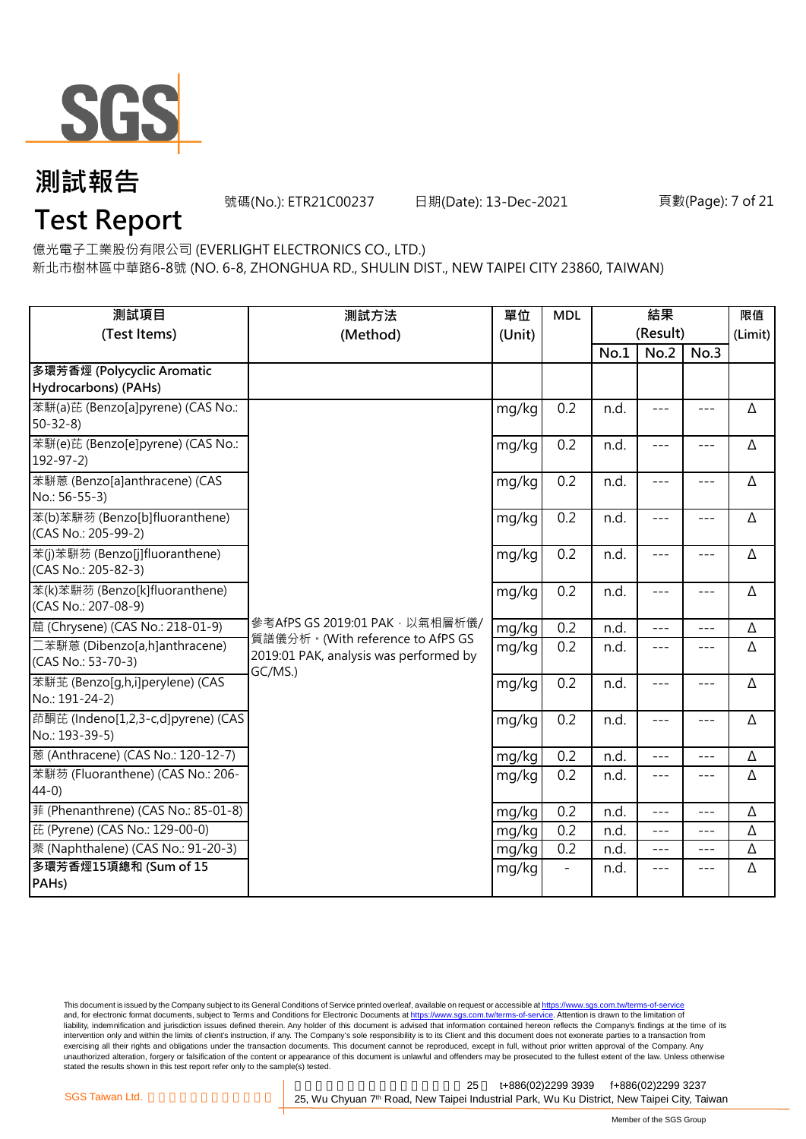

號碼(No.): ETR21C00237 日期(Date): 13-Dec-2021

#### 頁數(Page): 7 of 21

## **Test Report**

億光電子工業股份有限公司 (EVERLIGHT ELECTRONICS CO., LTD.)

新北市樹林區中華路6-8號 (NO. 6-8, ZHONGHUA RD., SHULIN DIST., NEW TAIPEI CITY 23860, TAIWAN)

| 測試項目<br>(Test Items)                                  | 測試方法<br>(Method)                                                                      | 單位<br>(Unit) | <b>MDL</b> | 結果<br>(Result) |         |                     | 限值<br>(Limit) |
|-------------------------------------------------------|---------------------------------------------------------------------------------------|--------------|------------|----------------|---------|---------------------|---------------|
|                                                       |                                                                                       |              |            | No.1           | No.2    | No.3                |               |
| 多環芳香烴 (Polycyclic Aromatic<br>Hydrocarbons) (PAHs)    |                                                                                       |              |            |                |         |                     |               |
| 苯駢(a)芘 (Benzo[a]pyrene) (CAS No.:<br>$50 - 32 - 8$    |                                                                                       | mg/kg        | 0.2        | n.d.           | $- - -$ | $\frac{1}{2}$       | Δ             |
| 苯駢(e)芘 (Benzo[e]pyrene) (CAS No.:<br>$192 - 97 - 2$   |                                                                                       | mg/kg        | 0.2        | n.d.           | ---     | $---$               | Δ             |
| 苯駢蒽 (Benzo[a]anthracene) (CAS<br>No.: 56-55-3)        |                                                                                       | mg/kg        | 0.2        | n.d.           | $---$   | $---$               | Δ             |
| 苯(b)苯駢芴 (Benzo[b]fluoranthene)<br>(CAS No.: 205-99-2) |                                                                                       | mg/kg        | 0.2        | n.d.           | $---$   | $---$               | Δ             |
| 苯(j)苯駢芴 (Benzo[j]fluoranthene)<br>(CAS No.: 205-82-3) |                                                                                       | mg/kg        | 0.2        | n.d.           | $ -$    | $---$               | Δ             |
| 苯(k)苯駢芴 (Benzo[k]fluoranthene)<br>(CAS No.: 207-08-9) |                                                                                       | mg/kg        | 0.2        | n.d.           | $ -$    | $---$               | Δ             |
| 蔰 (Chrysene) (CAS No.: 218-01-9)                      | 參考AfPS GS 2019:01 PAK · 以氣相層析儀/                                                       | mg/kg        | 0.2        | n.d.           | $---$   | $---$               | Δ             |
| 二苯駢蒽 (Dibenzo[a,h]anthracene)<br>(CAS No.: 53-70-3)   | 質譜儀分析。(With reference to AfPS GS<br>2019:01 PAK, analysis was performed by<br>GC/MS.) | mg/kg        | 0.2        | n.d.           | $- - -$ | $- - -$             | Δ             |
| 苯駢芷 (Benzo[q,h,i]perylene) (CAS<br>No.: 191-24-2)     |                                                                                       | mg/kg        | 0.2        | n.d.           | $- - -$ | $---$               | Δ             |
| 茚酮芘 (Indeno[1,2,3-c,d]pyrene) (CAS<br>No.: 193-39-5)  |                                                                                       | mg/kg        | 0.2        | n.d.           | $---$   | $\qquad \qquad - -$ | Δ             |
| 蒽 (Anthracene) (CAS No.: 120-12-7)                    |                                                                                       | mg/kg        | 0.2        | n.d.           | $---$   | $- - -$             | Δ             |
| 苯駢芴 (Fluoranthene) (CAS No.: 206-<br>$44-0$           |                                                                                       | mg/kg        | 0.2        | n.d.           | $---$   | $---$               | Δ             |
| 菲 (Phenanthrene) (CAS No.: 85-01-8)                   |                                                                                       | mg/kg        | 0.2        | n.d.           | $---$   | $---$               | Δ             |
| 芘 (Pyrene) (CAS No.: 129-00-0)                        |                                                                                       | mg/kg        | 0.2        | n.d.           | $- - -$ | $\frac{1}{2}$       | Δ             |
| 萘 (Naphthalene) (CAS No.: 91-20-3)                    |                                                                                       | mg/kg        | 0.2        | n.d.           | $---$   | $---$               | Δ             |
| 多環芳香烴15項總和 (Sum of 15<br>PAH <sub>s</sub> )           |                                                                                       | mg/kg        |            | n.d.           | $---$   | $---$               | Δ             |

This document is issued by the Company subject to its General Conditions of Service printed overleaf, available on request or accessible at <u>https://www.sgs.com.tw/terms-of-service</u><br>and, for electronic format documents, su liability, indemnification and jurisdiction issues defined therein. Any holder of this document is advised that information contained hereon reflects the Company's findings at the time of its intervention only and within the limits of client's instruction, if any. The Company's sole responsibility is to its Client and this document does not exonerate parties to a transaction from exercising all their rights and obligations under the transaction documents. This document cannot be reproduced, except in full, without prior written approval of the Company. Any<br>unauthorized alteration, forgery or falsif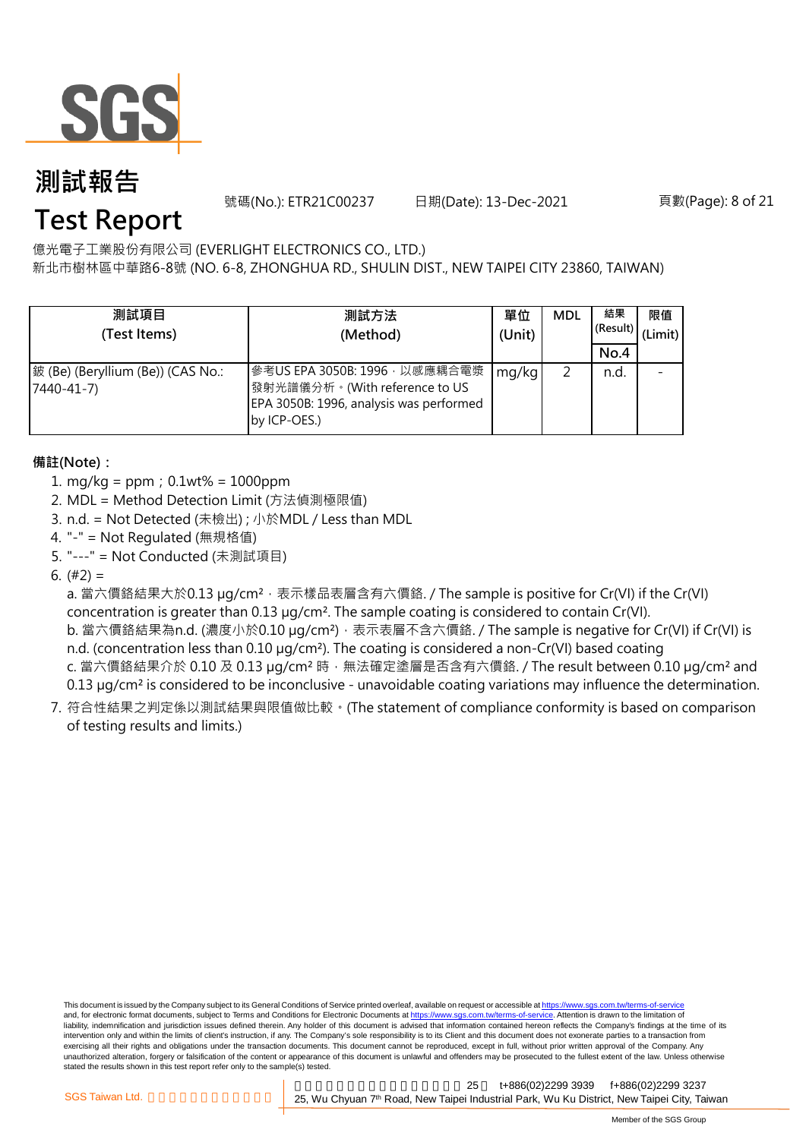

號碼(No.): ETR21C00237 日期(Date): 13-Dec-2021

頁數(Page): 8 of 21

## **Test Report**

億光電子工業股份有限公司 (EVERLIGHT ELECTRONICS CO., LTD.)

新北市樹林區中華路6-8號 (NO. 6-8, ZHONGHUA RD., SHULIN DIST., NEW TAIPEI CITY 23860, TAIWAN)

| 測試項目<br>(Test Items)                            | 測試方法<br>(Method)                                                                                                          | 單位<br>(Unit) | <b>MDL</b> | 結果<br>(Result)<br>No.4 | 限值<br>(Limit) |
|-------------------------------------------------|---------------------------------------------------------------------------------------------------------------------------|--------------|------------|------------------------|---------------|
| 鈹 (Be) (Beryllium (Be)) (CAS No.:<br>7440-41-7) | 參考US EPA 3050B: 1996, 以感應耦合電漿<br>發射光譜儀分析。(With reference to US<br>EPA 3050B: 1996, analysis was performed<br>by ICP-OES.) | mg/kg        |            | n.d.                   |               |

#### **備註(Note):**

- 1. mg/kg = ppm;0.1wt% = 1000ppm
- 2. MDL = Method Detection Limit (方法偵測極限值)
- 3. n.d. = Not Detected (未檢出) ; 小於MDL / Less than MDL
- 4. "-" = Not Regulated (無規格值)
- 5. "---" = Not Conducted (未測試項目)

6.  $(#2) =$ 

a. 當六價鉻結果大於0.13 µg/cm<sup>2,</sup> 表示樣品表層含有六價鉻. / The sample is positive for Cr(VI) if the Cr(VI) concentration is greater than 0.13 µg/cm². The sample coating is considered to contain Cr(VI).

b. 當六價鉻結果為n.d. (濃度小於0.10 μg/cm²),表示表層不含六價鉻. / The sample is negative for Cr(VI) if Cr(VI) is n.d. (concentration less than 0.10 µg/cm<sup>2</sup>). The coating is considered a non-Cr(VI) based coating c. 當六價鉻結果介於 0.10 及 0.13 µg/cm<sup>2</sup> 時, 無法確定塗層是否含有六價鉻. / The result between 0.10 µg/cm<sup>2</sup> and

0.13 µg/cm<sup>2</sup> is considered to be inconclusive - unavoidable coating variations may influence the determination.

7. 符合性結果之判定係以測試結果與限值做比較。(The statement of compliance conformity is based on comparison of testing results and limits.)

This document is issued by the Company subject to its General Conditions of Service printed overleaf, available on request or accessible at https://www.sgs.com.tw/terms-of-service and, for electronic format documents, subject to Terms and Conditions for Electronic Documents at https://www.sgs.com.tw/terms-of-service. Attention is drawn to the limitation of liability, indemnification and jurisdiction issues defined therein. Any holder of this document is advised that information contained hereon reflects the Company's findings at the time of its intervention only and within the limits of client's instruction, if any. The Company's sole responsibility is to its Client and this document does not exonerate parties to a transaction from exercising all their rights and obligations under the transaction documents. This document cannot be reproduced, except in full, without prior written approval of the Company. Any<br>unauthorized alteration, forgery or falsif stated the results shown in this test report refer only to the sample(s) tested.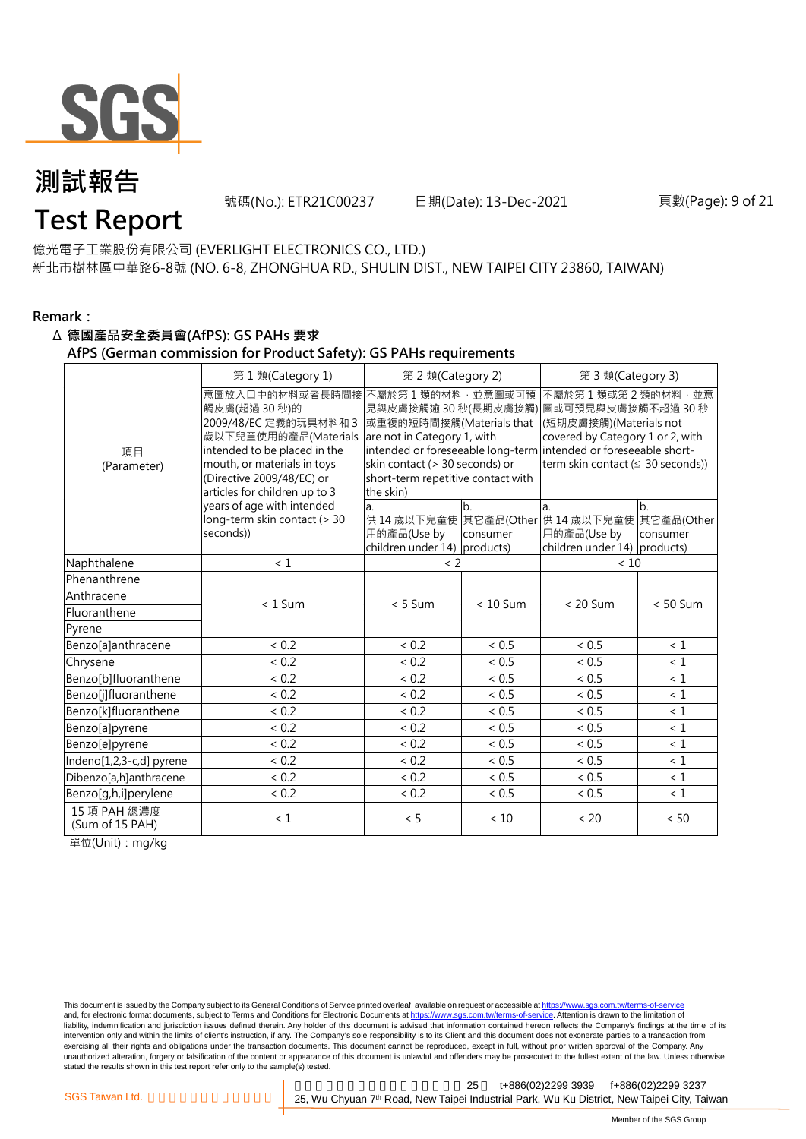

號碼(No.): ETR21C00237 日期(Date): 13-Dec-2021

## **Test Report**

億光電子工業股份有限公司 (EVERLIGHT ELECTRONICS CO., LTD.) 新北市樹林區中華路6-8號 (NO. 6-8, ZHONGHUA RD., SHULIN DIST., NEW TAIPEI CITY 23860, TAIWAN)

#### **Remark:**

#### Δ **德國產品安全委員會(AfPS): GS PAHs 要求**

**AfPS (German commission for Product Safety): GS PAHs requirements**

|                                 | 第1類(Category 1)                                                                                                                                                                                              | 第 2 類(Category 2)                                                                                                                                                |                            | 第 3 類(Category 3)                                                                                                                                                                                                                        |                                          |  |  |
|---------------------------------|--------------------------------------------------------------------------------------------------------------------------------------------------------------------------------------------------------------|------------------------------------------------------------------------------------------------------------------------------------------------------------------|----------------------------|------------------------------------------------------------------------------------------------------------------------------------------------------------------------------------------------------------------------------------------|------------------------------------------|--|--|
| 項目<br>(Parameter)               | 意圖放入口中的材料或者長時間接<br>觸皮膚(超過30秒)的<br>2009/48/EC 定義的玩具材料和 3<br>歲以下兒童使用的產品(Materials<br>intended to be placed in the<br>mouth, or materials in toys<br>(Directive 2009/48/EC) or<br>articles for children up to 3 | 不屬於第1類的材料,並意圖或可預<br>或重複的短時間接觸(Materials that<br>are not in Category 1, with<br>skin contact (> 30 seconds) or<br>short-term repetitive contact with<br>the skin) |                            | 不屬於第1類或第2類的材料,並意<br>見與皮膚接觸逾 30 秒(長期皮膚接觸) 圖或可預見與皮膚接觸不超過 30 秒<br>(短期皮膚接觸)(Materials not<br>covered by Category 1 or 2, with<br>intended or foreseeable long-term intended or foreseeable short-<br>term skin contact ( $\leq$ 30 seconds)) |                                          |  |  |
|                                 | years of age with intended<br>long-term skin contact (> 30<br>seconds))                                                                                                                                      | a.<br>用的產品(Use by<br>children under 14) products)                                                                                                                | b <sub>1</sub><br>consumer | la.<br>供 14 歳以下兒童使 其它產品(Other 供 14 歳以下兒童使<br>用的產品(Use by<br>children under 14) products)                                                                                                                                                 | b <sub>1</sub><br>其它產品(Other<br>consumer |  |  |
| Naphthalene                     | < 1                                                                                                                                                                                                          | $\langle$ 2                                                                                                                                                      |                            | < 10                                                                                                                                                                                                                                     |                                          |  |  |
| Phenanthrene                    |                                                                                                                                                                                                              |                                                                                                                                                                  |                            |                                                                                                                                                                                                                                          |                                          |  |  |
| Anthracene                      | $< 1$ Sum                                                                                                                                                                                                    | $< 5$ Sum                                                                                                                                                        | $< 10$ Sum                 | $< 20$ Sum                                                                                                                                                                                                                               | $< 50$ Sum                               |  |  |
| Fluoranthene                    |                                                                                                                                                                                                              |                                                                                                                                                                  |                            |                                                                                                                                                                                                                                          |                                          |  |  |
| Pyrene                          |                                                                                                                                                                                                              |                                                                                                                                                                  |                            |                                                                                                                                                                                                                                          |                                          |  |  |
| Benzo[a]anthracene              | ${}< 0.2$                                                                                                                                                                                                    | < 0.2                                                                                                                                                            | < 0.5                      | < 0.5                                                                                                                                                                                                                                    | $\leq 1$                                 |  |  |
| Chrysene                        | < 0.2                                                                                                                                                                                                        | < 0.2                                                                                                                                                            | $< 0.5$                    | ${}< 0.5$                                                                                                                                                                                                                                | $\leq 1$                                 |  |  |
| Benzo[b]fluoranthene            | < 0.2                                                                                                                                                                                                        | < 0.2                                                                                                                                                            | < 0.5                      | < 0.5                                                                                                                                                                                                                                    | $\leq 1$                                 |  |  |
| Benzo[j]fluoranthene            | < 0.2                                                                                                                                                                                                        | < 0.2                                                                                                                                                            | ~< 0.5                     | < 0.5                                                                                                                                                                                                                                    | $\leq 1$                                 |  |  |
| Benzo[k]fluoranthene            | < 0.2                                                                                                                                                                                                        | < 0.2                                                                                                                                                            | < 0.5                      | < 0.5                                                                                                                                                                                                                                    | < 1                                      |  |  |
| Benzo[a]pyrene                  | ${}< 0.2$                                                                                                                                                                                                    | < 0.2                                                                                                                                                            | ~< 0.5                     | < 0.5                                                                                                                                                                                                                                    | $\leq 1$                                 |  |  |
| Benzo[e]pyrene                  | < 0.2                                                                                                                                                                                                        | < 0.2                                                                                                                                                            | < 0.5                      | < 0.5                                                                                                                                                                                                                                    | < 1                                      |  |  |
| Indeno[1,2,3-c,d] pyrene        | < 0.2                                                                                                                                                                                                        | < 0.2                                                                                                                                                            | < 0.5                      | < 0.5                                                                                                                                                                                                                                    | $\leq 1$                                 |  |  |
| Dibenzo[a,h]anthracene          | < 0.2                                                                                                                                                                                                        | < 0.2                                                                                                                                                            | ~< 0.5                     | ~< 0.5                                                                                                                                                                                                                                   | < 1                                      |  |  |
| Benzo[g,h,i]perylene            | ${}< 0.2$                                                                                                                                                                                                    | ${}< 0.2$                                                                                                                                                        | ${}< 0.5$                  | ${}< 0.5$                                                                                                                                                                                                                                | $\leq 1$                                 |  |  |
| 15 項 PAH 總濃度<br>(Sum of 15 PAH) | < 1                                                                                                                                                                                                          | < 5                                                                                                                                                              | < 10                       | < 20                                                                                                                                                                                                                                     | $< 50$                                   |  |  |

單位(Unit):mg/kg

This document is issued by the Company subject to its General Conditions of Service printed overleaf, available on request or accessible at https://www.sgs.com.tw/terms-of-service and, for electronic format documents, subject to Terms and Conditions for Electronic Documents at https://www.sgs.com.tw/terms-of-service. Attention is drawn to the limitation of liability, indemnification and jurisdiction issues defined therein. Any holder of this document is advised that information contained hereon reflects the Company's findings at the time of its intervention only and within the limits of client's instruction, if any. The Company's sole responsibility is to its Client and this document does not exonerate parties to a transaction from exercising all their rights and obligations under the transaction documents. This document cannot be reproduced, except in full, without prior written approval of the Company. Any<br>unauthorized alteration, forgery or falsif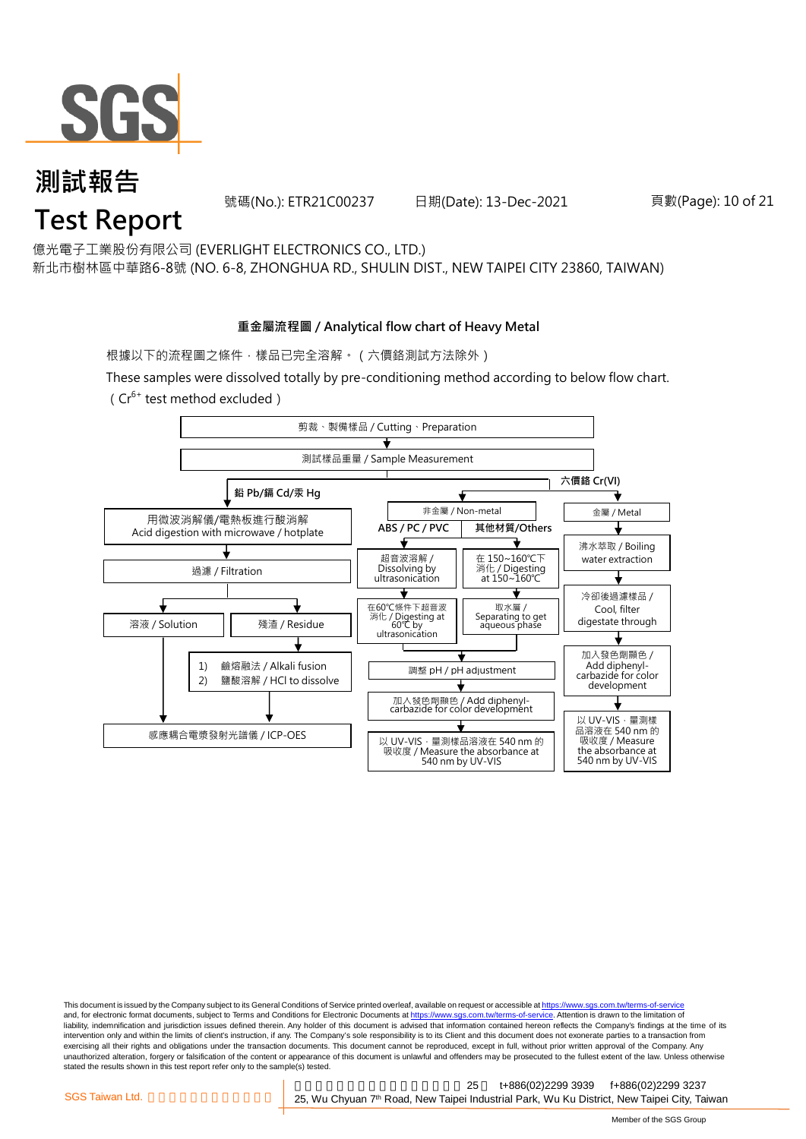

#### **測試報告 Test Report** 號碼(No.): ETR21C00237 日期(Date): 13-Dec-2021

億光電子工業股份有限公司 (EVERLIGHT ELECTRONICS CO., LTD.) 新北市樹林區中華路6-8號 (NO. 6-8, ZHONGHUA RD., SHULIN DIST., NEW TAIPEI CITY 23860, TAIWAN)

### **重金屬流程圖 / Analytical flow chart of Heavy Metal**

根據以下的流程圖之條件,樣品已完全溶解。(六價鉻測試方法除外)

These samples were dissolved totally by pre-conditioning method according to below flow chart.  $(Cr^{6+}$  test method excluded)



This document is issued by the Company subject to its General Conditions of Service printed overleaf, available on request or accessible at https://www.sgs.com.tw/terms-of-service and, for electronic format documents, subject to Terms and Conditions for Electronic Documents at https://www.sgs.com.tw/terms-of-service. Attention is drawn to the limitation of liability, indemnification and jurisdiction issues defined therein. Any holder of this document is advised that information contained hereon reflects the Company's findings at the time of its intervention only and within the limits of client's instruction, if any. The Company's sole responsibility is to its Client and this document does not exonerate parties to a transaction from exercising all their rights and obligations under the transaction documents. This document cannot be reproduced, except in full, without prior written approval of the Company. Any<br>unauthorized alteration, forgery or falsif stated the results shown in this test report refer only to the sample(s) tested.

新北市五股區新北產業園區五權七 25 t+886(02)2299 3939 f+886(02)2299 3237 SGS Taiwan Ltd. **Exercise 25, Wu Chyuan 7<sup>th</sup> Road, New Taipei Industrial Park, Wu Ku District, New Taipei City, Taiwan** 

頁數(Page): 10 of 21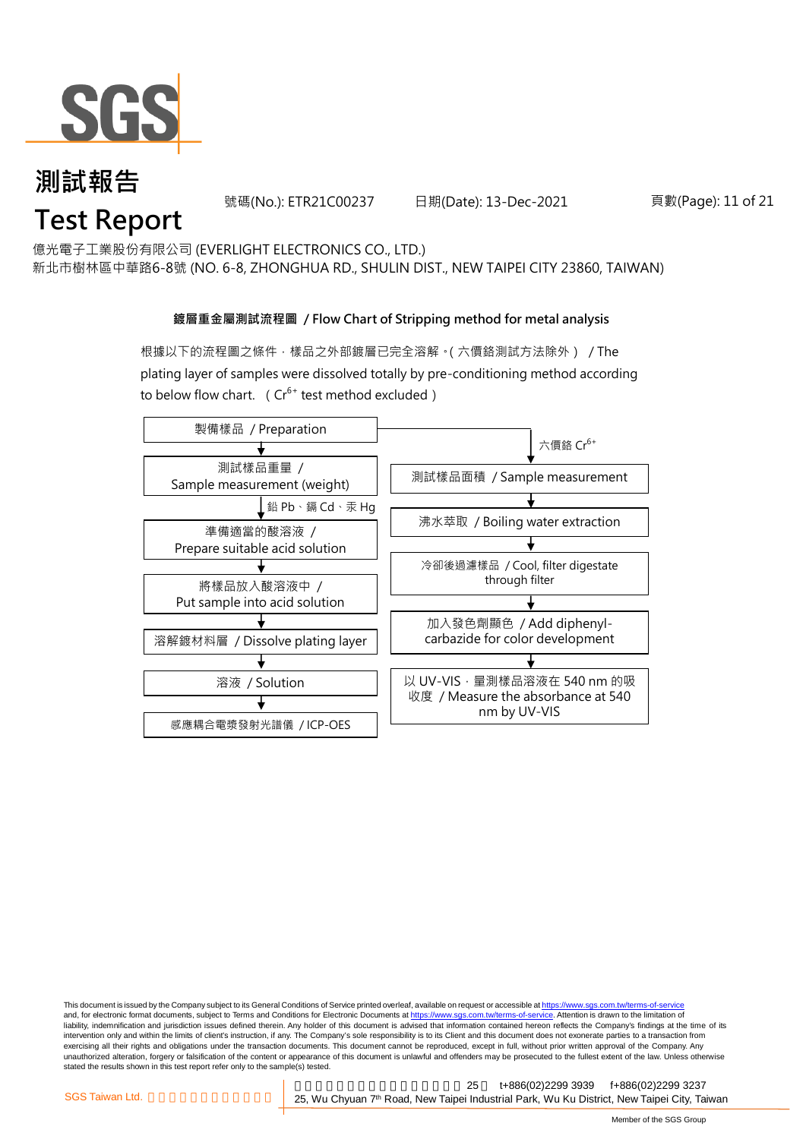

號碼(No.): ETR21C00237 日期(Date): 13-Dec-2021

頁數(Page): 11 of 21

億光電子工業股份有限公司 (EVERLIGHT ELECTRONICS CO., LTD.)

新北市樹林區中華路6-8號 (NO. 6-8, ZHONGHUA RD., SHULIN DIST., NEW TAIPEI CITY 23860, TAIWAN)

#### **鍍層重金屬測試流程圖 / Flow Chart of Stripping method for metal analysis**

根據以下的流程圖之條件,樣品之外部鍍層已完全溶解。(六價鉻測試方法除外) / The plating layer of samples were dissolved totally by pre-conditioning method according to below flow chart. ( $Cr^{6+}$  test method excluded)



This document is issued by the Company subject to its General Conditions of Service printed overleaf, available on request or accessible at https://www.sgs.com.tw/terms-of-service and, for electronic format documents, subject to Terms and Conditions for Electronic Documents at https://www.sgs.com.tw/terms-of-service. Attention is drawn to the limitation of liability, indemnification and jurisdiction issues defined therein. Any holder of this document is advised that information contained hereon reflects the Company's findings at the time of its intervention only and within the limits of client's instruction, if any. The Company's sole responsibility is to its Client and this document does not exonerate parties to a transaction from exercising all their rights and obligations under the transaction documents. This document cannot be reproduced, except in full, without prior written approval of the Company. Any<br>unauthorized alteration, forgery or falsif stated the results shown in this test report refer only to the sample(s) tested.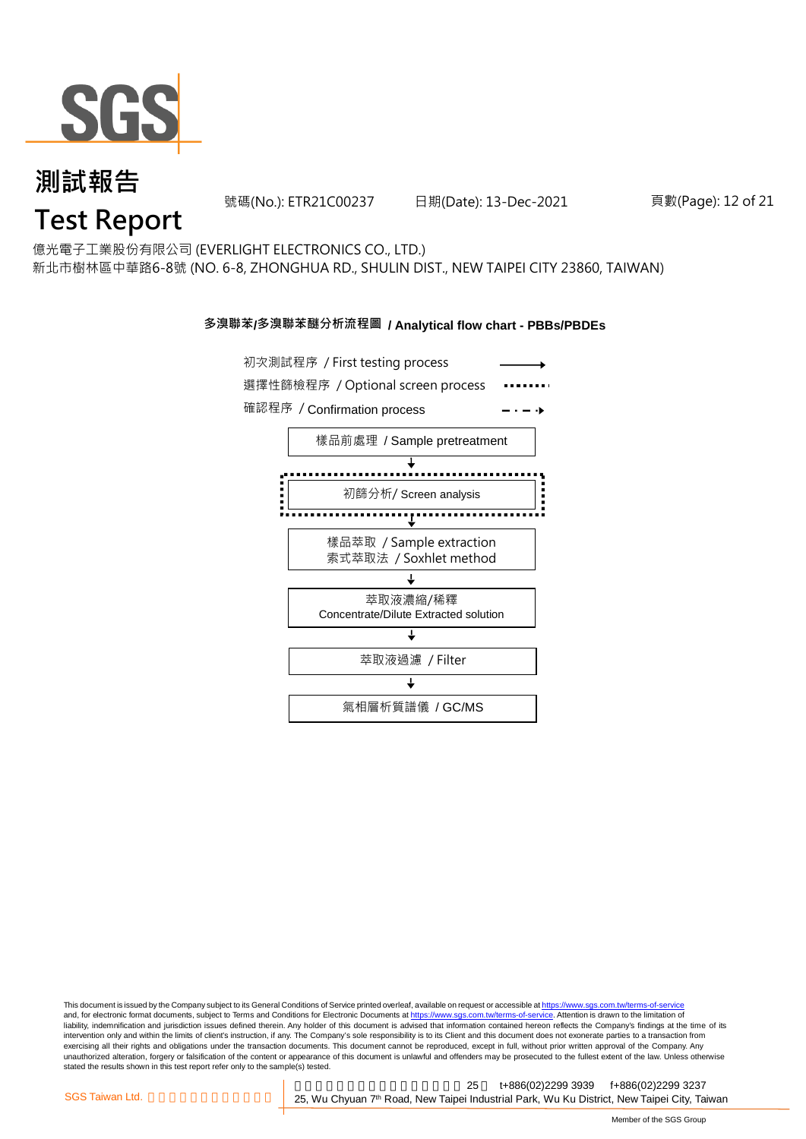

號碼(No.): ETR21C00237 日期(Date): 13-Dec-2021

#### 頁數(Page): 12 of 21

億光電子工業股份有限公司 (EVERLIGHT ELECTRONICS CO., LTD.)

新北市樹林區中華路6-8號 (NO. 6-8, ZHONGHUA RD., SHULIN DIST., NEW TAIPEI CITY 23860, TAIWAN)

#### **多溴聯苯/多溴聯苯醚分析流程圖 / Analytical flow chart - PBBs/PBDEs**



This document is issued by the Company subject to its General Conditions of Service printed overleaf, available on request or accessible at https://www.sgs.com.tw/terms-of-service and, for electronic format documents, subject to Terms and Conditions for Electronic Documents at https://www.sgs.com.tw/terms-of-service. Attention is drawn to the limitation of liability, indemnification and jurisdiction issues defined therein. Any holder of this document is advised that information contained hereon reflects the Company's findings at the time of its intervention only and within the limits of client's instruction, if any. The Company's sole responsibility is to its Client and this document does not exonerate parties to a transaction from exercising all their rights and obligations under the transaction documents. This document cannot be reproduced, except in full, without prior written approval of the Company. Any<br>unauthorized alteration, forgery or falsif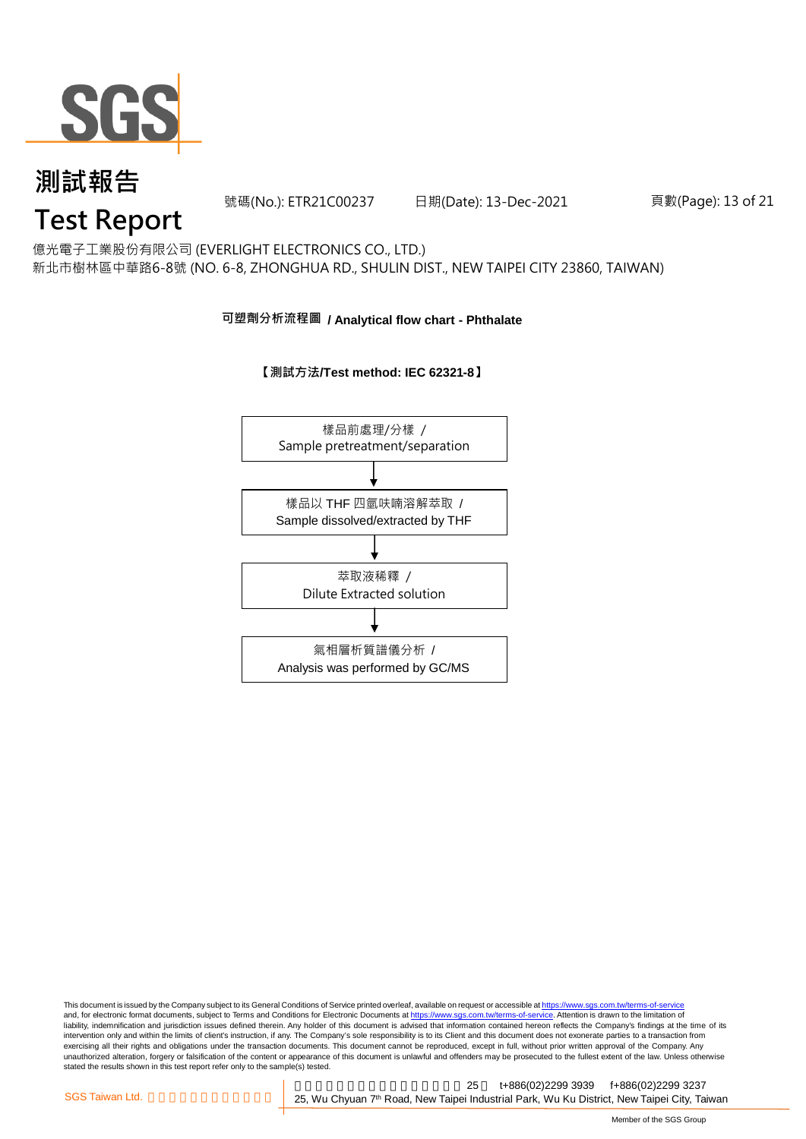

號碼(No.): ETR21C00237 日期(Date): 13-Dec-2021

#### 頁數(Page): 13 of 21

## **Test Report**

億光電子工業股份有限公司 (EVERLIGHT ELECTRONICS CO., LTD.) 新北市樹林區中華路6-8號 (NO. 6-8, ZHONGHUA RD., SHULIN DIST., NEW TAIPEI CITY 23860, TAIWAN)

#### **可塑劑分析流程圖 / Analytical flow chart - Phthalate**

#### **【測試方法/Test method: IEC 62321-8】**



This document is issued by the Company subject to its General Conditions of Service printed overleaf, available on request or accessible at <u>https://www.sgs.com.tw/terms-of-service</u><br>and, for electronic format documents, su liability, indemnification and jurisdiction issues defined therein. Any holder of this document is advised that information contained hereon reflects the Company's findings at the time of its intervention only and within the limits of client's instruction, if any. The Company's sole responsibility is to its Client and this document does not exonerate parties to a transaction from exercising all their rights and obligations under the transaction documents. This document cannot be reproduced, except in full, without prior written approval of the Company. Any<br>unauthorized alteration, forgery or falsif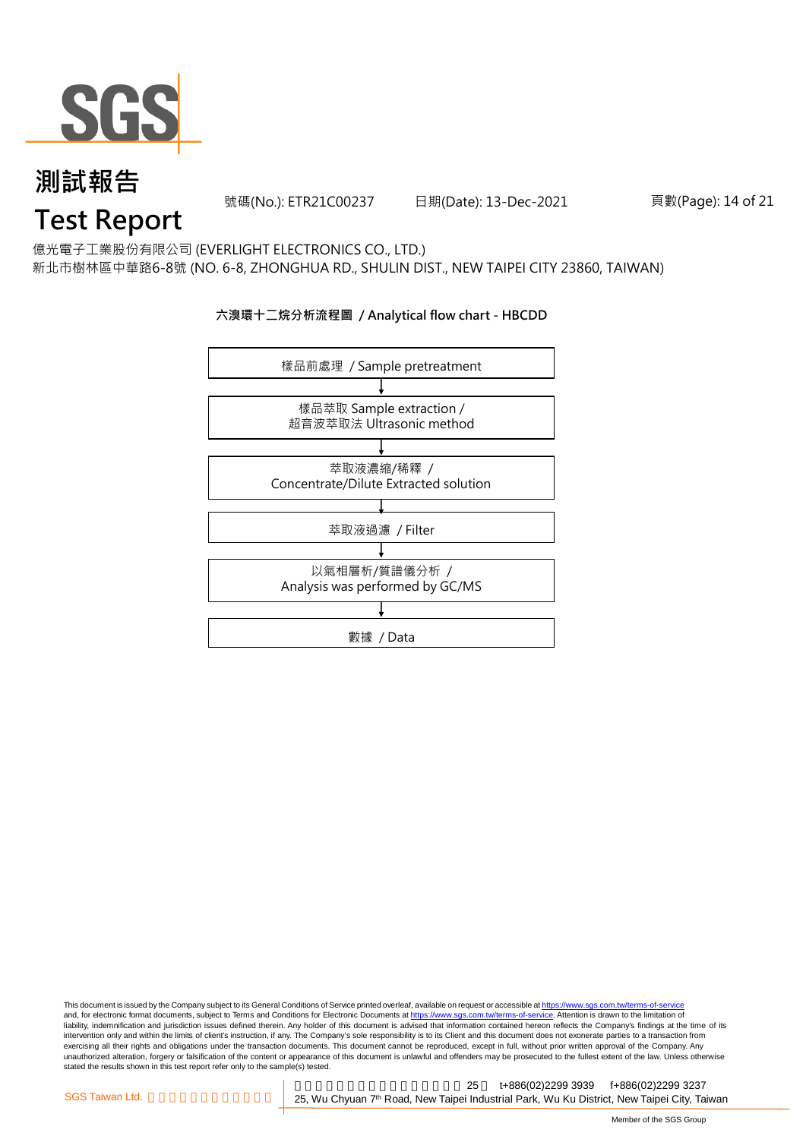

號碼(No.): ETR21C00237 日期(Date): 13-Dec-2021

頁數(Page): 14 of 21

## **Test Report**

億光電子工業股份有限公司 (EVERLIGHT ELECTRONICS CO., LTD.) 新北市樹林區中華路6-8號 (NO. 6-8, ZHONGHUA RD., SHULIN DIST., NEW TAIPEI CITY 23860, TAIWAN)

#### **六溴環十二烷分析流程圖 / Analytical flow chart - HBCDD**



This document is issued by the Company subject to its General Conditions of Service printed overleaf, available on request or accessible at <u>https://www.sgs.com.tw/terms-of-service</u><br>and, for electronic format documents, su liability, indemnification and jurisdiction issues defined therein. Any holder of this document is advised that information contained hereon reflects the Company's findings at the time of its intervention only and within the limits of client's instruction, if any. The Company's sole responsibility is to its Client and this document does not exonerate parties to a transaction from exercising all their rights and obligations under the transaction documents. This document cannot be reproduced, except in full, without prior written approval of the Company. Any<br>unauthorized alteration, forgery or falsif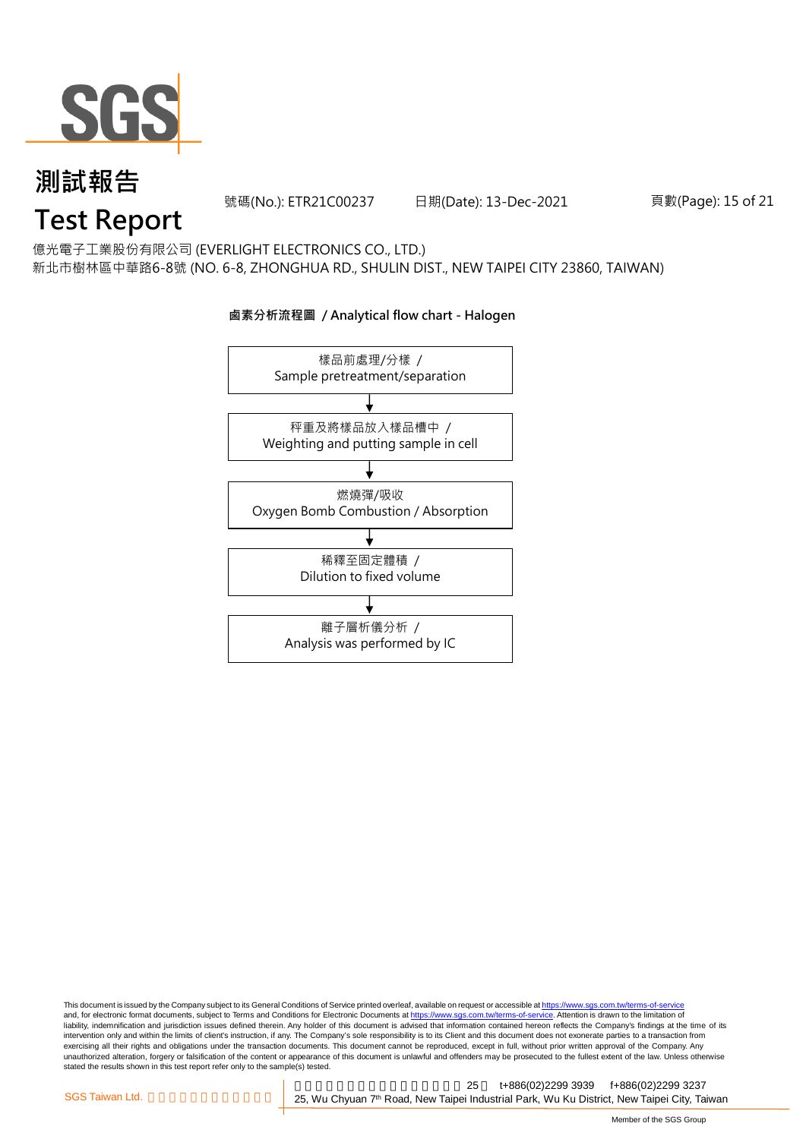

號碼(No.): ETR21C00237 日期(Date): 13-Dec-2021

頁數(Page): 15 of 21

# **Test Report**

億光電子工業股份有限公司 (EVERLIGHT ELECTRONICS CO., LTD.) 新北市樹林區中華路6-8號 (NO. 6-8, ZHONGHUA RD., SHULIN DIST., NEW TAIPEI CITY 23860, TAIWAN)



#### **鹵素分析流程圖 / Analytical flow chart - Halogen**

This document is issued by the Company subject to its General Conditions of Service printed overleaf, available on request or accessible at <u>https://www.sgs.com.tw/terms-of-service</u><br>and, for electronic format documents, su liability, indemnification and jurisdiction issues defined therein. Any holder of this document is advised that information contained hereon reflects the Company's findings at the time of its intervention only and within the limits of client's instruction, if any. The Company's sole responsibility is to its Client and this document does not exonerate parties to a transaction from exercising all their rights and obligations under the transaction documents. This document cannot be reproduced, except in full, without prior written approval of the Company. Any<br>unauthorized alteration, forgery or falsif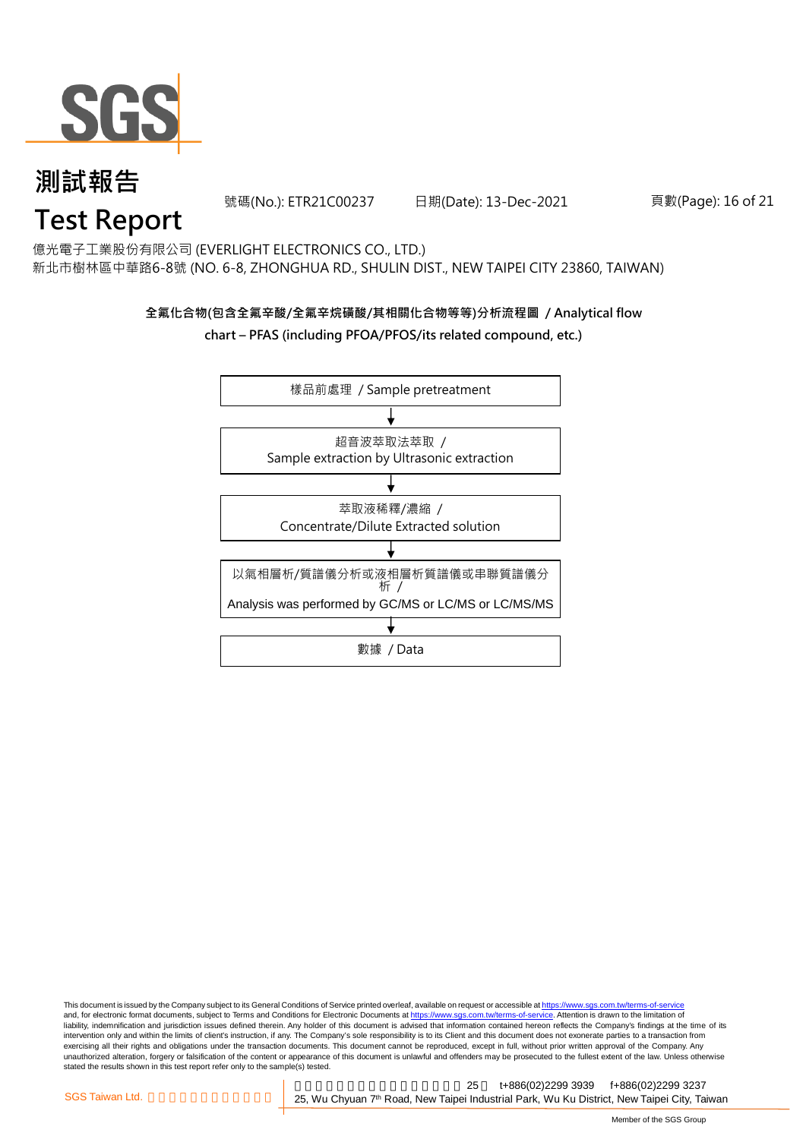

號碼(No.): ETR21C00237 日期(Date): 13-Dec-2021

#### 頁數(Page): 16 of 21

## **Test Report**

億光電子工業股份有限公司 (EVERLIGHT ELECTRONICS CO., LTD.) 新北市樹林區中華路6-8號 (NO. 6-8, ZHONGHUA RD., SHULIN DIST., NEW TAIPEI CITY 23860, TAIWAN)

#### **全氟化合物(包含全氟辛酸/全氟辛烷磺酸/其相關化合物等等)分析流程圖 / Analytical flow chart – PFAS (including PFOA/PFOS/its related compound, etc.)**



This document is issued by the Company subject to its General Conditions of Service printed overleaf, available on request or accessible at https://www.sgs.com.tw/terms-of-service and, for electronic format documents, subject to Terms and Conditions for Electronic Documents at https://www.sgs.com.tw/terms-of-service. Attention is drawn to the limitation of liability, indemnification and jurisdiction issues defined therein. Any holder of this document is advised that information contained hereon reflects the Company's findings at the time of its intervention only and within the limits of client's instruction, if any. The Company's sole responsibility is to its Client and this document does not exonerate parties to a transaction from exercising all their rights and obligations under the transaction documents. This document cannot be reproduced, except in full, without prior written approval of the Company. Any<br>unauthorized alteration, forgery or falsif stated the results shown in this test report refer only to the sample(s) tested.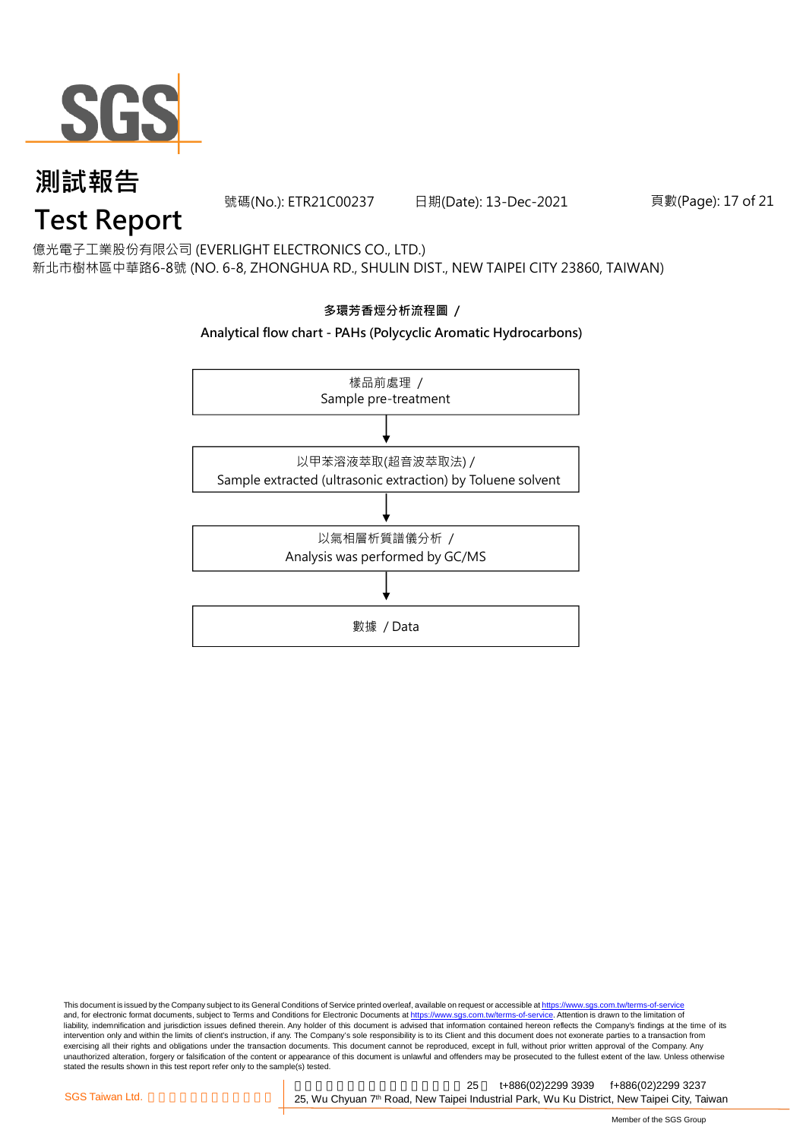

號碼(No.): ETR21C00237 日期(Date): 13-Dec-2021

頁數(Page): 17 of 21

# **Test Report**

億光電子工業股份有限公司 (EVERLIGHT ELECTRONICS CO., LTD.) 新北市樹林區中華路6-8號 (NO. 6-8, ZHONGHUA RD., SHULIN DIST., NEW TAIPEI CITY 23860, TAIWAN)



This document is issued by the Company subject to its General Conditions of Service printed overleaf, available on request or accessible at <u>https://www.sgs.com.tw/terms-of-service</u><br>and, for electronic format documents, su liability, indemnification and jurisdiction issues defined therein. Any holder of this document is advised that information contained hereon reflects the Company's findings at the time of its intervention only and within the limits of client's instruction, if any. The Company's sole responsibility is to its Client and this document does not exonerate parties to a transaction from exercising all their rights and obligations under the transaction documents. This document cannot be reproduced, except in full, without prior written approval of the Company. Any<br>unauthorized alteration, forgery or falsif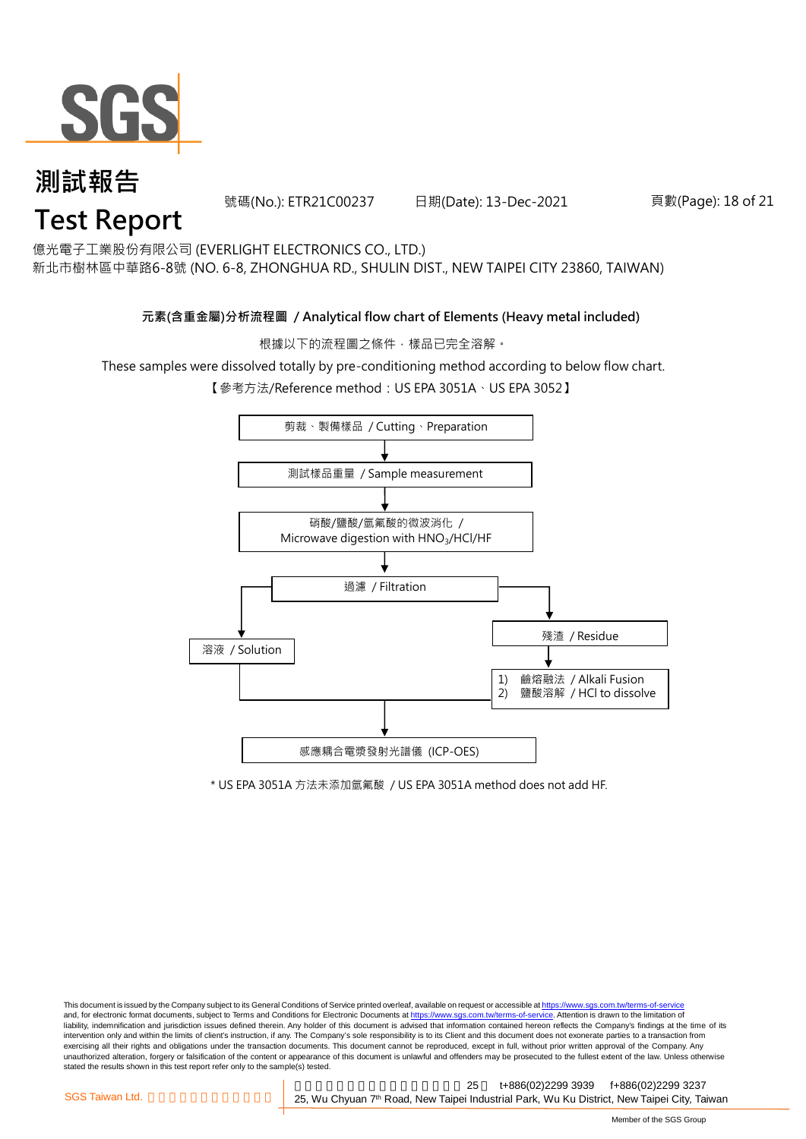

號碼(No.): ETR21C00237 日期(Date): 13-Dec-2021

#### 頁數(Page): 18 of 21

億光電子工業股份有限公司 (EVERLIGHT ELECTRONICS CO., LTD.)

新北市樹林區中華路6-8號 (NO. 6-8, ZHONGHUA RD., SHULIN DIST., NEW TAIPEI CITY 23860, TAIWAN)

#### **元素(含重金屬)分析流程圖 / Analytical flow chart of Elements (Heavy metal included)**

根據以下的流程圖之條件,樣品已完全溶解。

These samples were dissolved totally by pre-conditioning method according to below flow chart.

【參考方法/Reference method: US EPA 3051A、US EPA 3052】



\* US EPA 3051A 方法未添加氫氟酸 / US EPA 3051A method does not add HF.

This document is issued by the Company subject to its General Conditions of Service printed overleaf, available on request or accessible at https://www.sgs.com.tw/terms-of-service and, for electronic format documents, subject to Terms and Conditions for Electronic Documents at https://www.sgs.com.tw/terms-of-service. Attention is drawn to the limitation of liability, indemnification and jurisdiction issues defined therein. Any holder of this document is advised that information contained hereon reflects the Company's findings at the time of its intervention only and within the limits of client's instruction, if any. The Company's sole responsibility is to its Client and this document does not exonerate parties to a transaction from exercising all their rights and obligations under the transaction documents. This document cannot be reproduced, except in full, without prior written approval of the Company. Any<br>unauthorized alteration, forgery or falsif stated the results shown in this test report refer only to the sample(s) tested.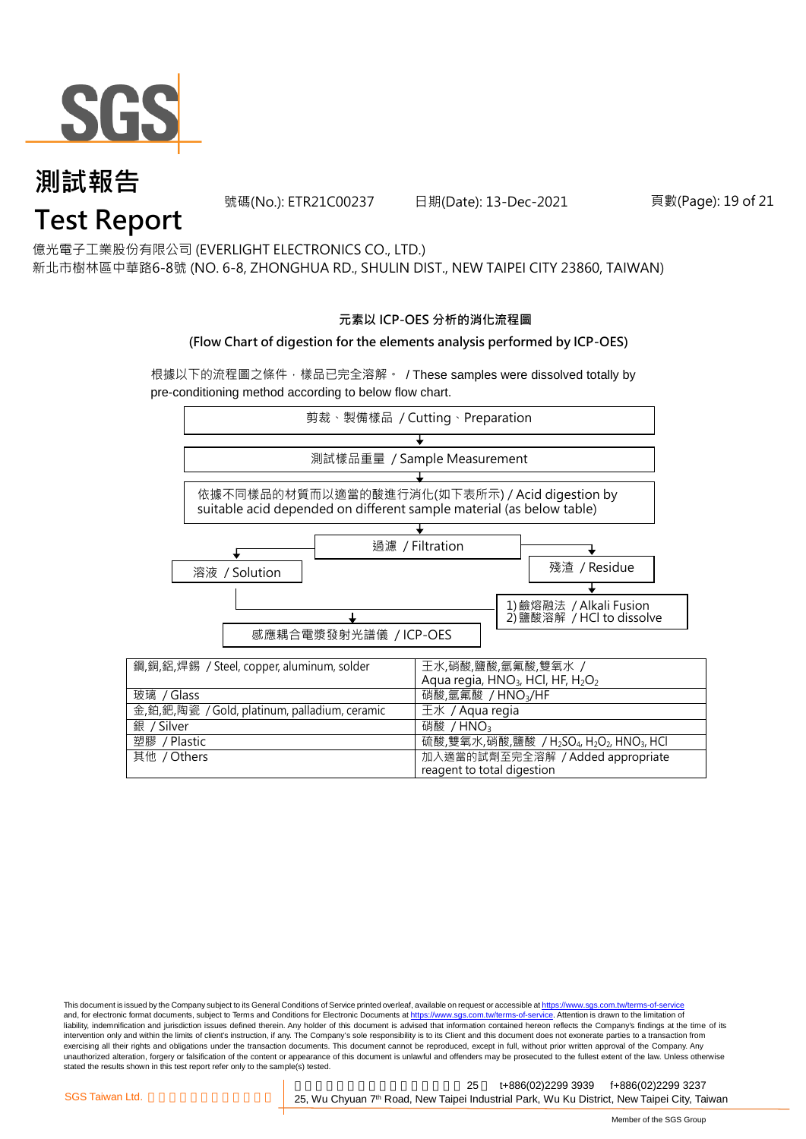

號碼(No.): ETR21C00237 日期(Date): 13-Dec-2021

#### 頁數(Page): 19 of 21

億光電子工業股份有限公司 (EVERLIGHT ELECTRONICS CO., LTD.)

新北市樹林區中華路6-8號 (NO. 6-8, ZHONGHUA RD., SHULIN DIST., NEW TAIPEI CITY 23860, TAIWAN)

#### **元素以 ICP-OES 分析的消化流程圖**

#### **(Flow Chart of digestion for the elements analysis performed by ICP-OES)**

根據以下的流程圖之條件,樣品已完全溶解。 / These samples were dissolved totally by pre-conditioning method according to below flow chart.



This document is issued by the Company subject to its General Conditions of Service printed overleaf, available on request or accessible at https://www.sgs.com.tw/terms-of-service and, for electronic format documents, subject to Terms and Conditions for Electronic Documents at https://www.sgs.com.tw/terms-of-service. Attention is drawn to the limitation of liability, indemnification and jurisdiction issues defined therein. Any holder of this document is advised that information contained hereon reflects the Company's findings at the time of its intervention only and within the limits of client's instruction, if any. The Company's sole responsibility is to its Client and this document does not exonerate parties to a transaction from exercising all their rights and obligations under the transaction documents. This document cannot be reproduced, except in full, without prior written approval of the Company. Any<br>unauthorized alteration, forgery or falsif stated the results shown in this test report refer only to the sample(s) tested.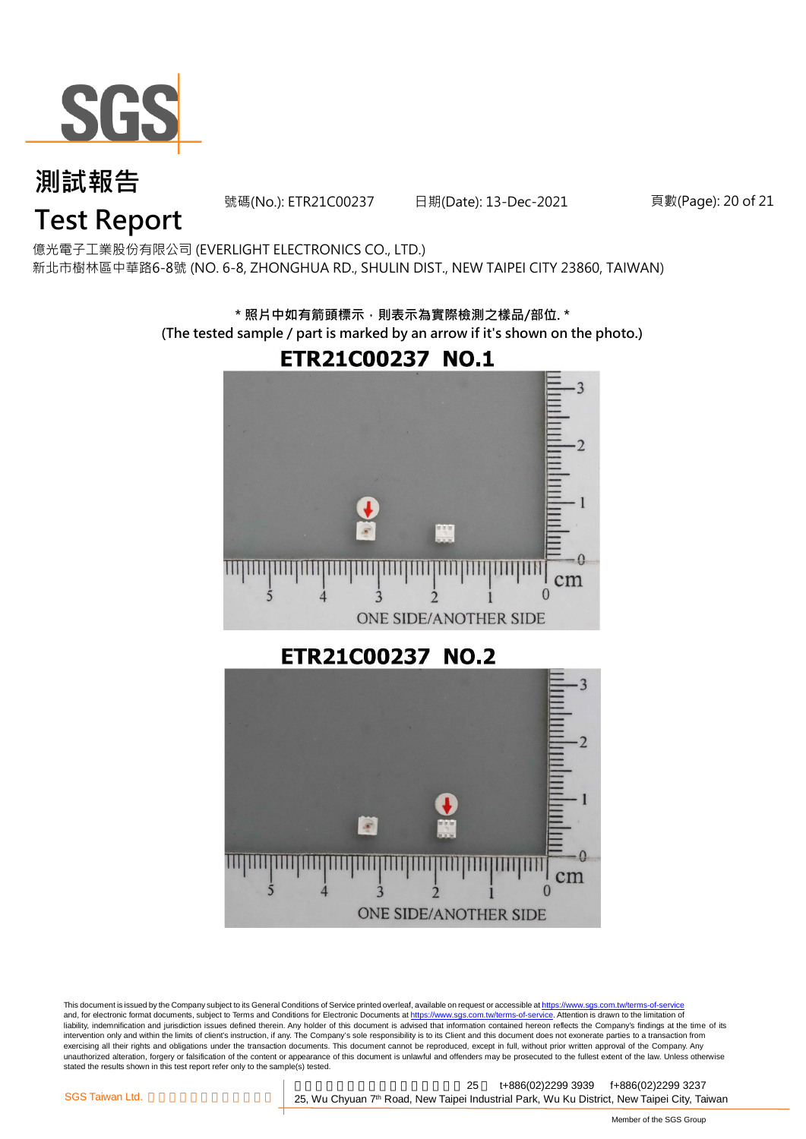

號碼(No.): ETR21C00237 日期(Date): 13-Dec-2021

頁數(Page): 20 of 21

# **Test Report**

億光電子工業股份有限公司 (EVERLIGHT ELECTRONICS CO., LTD.) 新北市樹林區中華路6-8號 (NO. 6-8, ZHONGHUA RD., SHULIN DIST., NEW TAIPEI CITY 23860, TAIWAN)

> **\* 照片中如有箭頭標示,則表示為實際檢測之樣品/部位. \* (The tested sample / part is marked by an arrow if it's shown on the photo.)**





This document is issued by the Company subject to its General Conditions of Service printed overleaf, available on request or accessible at <u>https://www.sgs.com.tw/terms-of-service</u><br>and, for electronic format documents, su liability, indemnification and jurisdiction issues defined therein. Any holder of this document is advised that information contained hereon reflects the Company's findings at the time of its intervention only and within the limits of client's instruction, if any. The Company's sole responsibility is to its Client and this document does not exonerate parties to a transaction from exercising all their rights and obligations under the transaction documents. This document cannot be reproduced, except in full, without prior written approval of the Company. Any<br>unauthorized alteration, forgery or falsif stated the results shown in this test report refer only to the sample(s) tested.